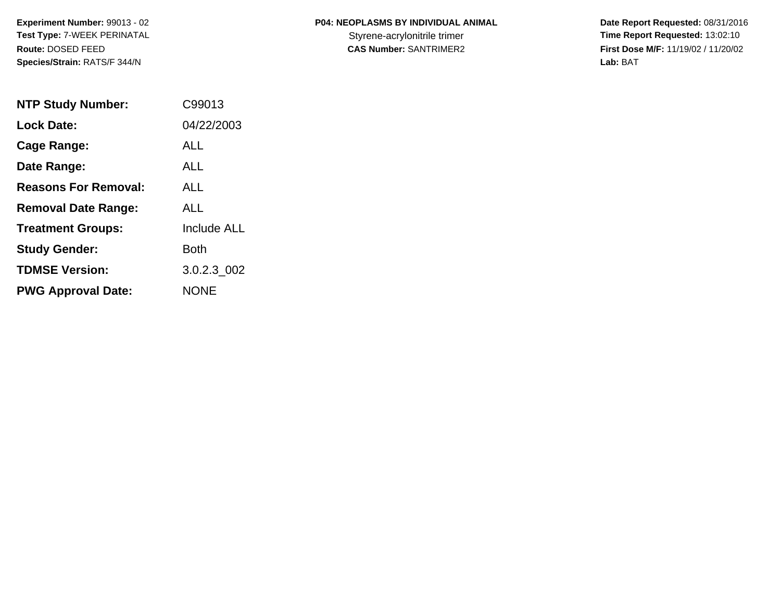| <b>P04: NEOPLASMS BY INDIVIDUAL ANIMAL</b> |  |
|--------------------------------------------|--|
|                                            |  |

 **Date Report Requested:** 08/31/2016 Styrene-acrylonitrile trimer<br> **CAS Number:** SANTRIMER2 **Time Report Requested:** 13:02:10<br> **First Dose M/F:** 11/19/02 / 11/20/02 **First Dose M/F:** 11/19/02 / 11/20/02 Lab: BAT **Lab:** BAT

| <b>NTP Study Number:</b>    | C99013             |
|-----------------------------|--------------------|
| <b>Lock Date:</b>           | 04/22/2003         |
| Cage Range:                 | ALL                |
| Date Range:                 | AI I               |
| <b>Reasons For Removal:</b> | ALL                |
| <b>Removal Date Range:</b>  | ALL                |
| <b>Treatment Groups:</b>    | <b>Include ALL</b> |
| <b>Study Gender:</b>        | <b>Both</b>        |
| <b>TDMSE Version:</b>       | 3.0.2.3_002        |
| <b>PWG Approval Date:</b>   | NONE               |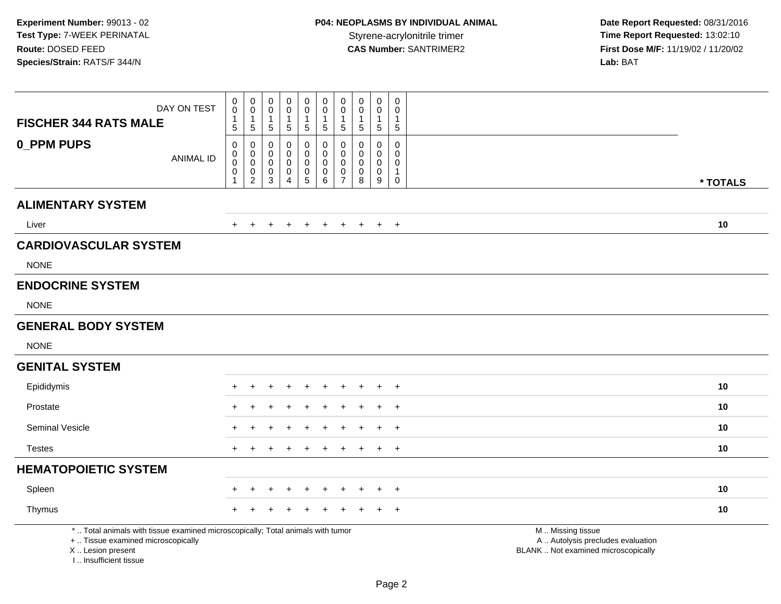**Date Report Requested:** 08/31/2016 **First Dose M/F:** 11/19/02 / 11/20/02<br>Lab: BAT **Lab:** BAT

| <b>FISCHER 344 RATS MALE</b>                                                     | DAY ON TEST                                                                     | 0<br>$\mathbf 0$<br>$\mathbf{1}$<br>$\,$ 5 $\,$                                              | $\begin{smallmatrix}0\0\0\end{smallmatrix}$<br>$\mathbf{1}$<br>$\,$ 5 $\,$ | $\,0\,$<br>$\mathbf 0$<br>$\overline{1}$<br>$\sqrt{5}$              | 0<br>0<br>$\sqrt{5}$                      | $\pmb{0}$<br>$\mathbf 0$<br>$\mathbf{1}$<br>$\sqrt{5}$                           | $\pmb{0}$<br>$\mathsf 0$<br>1<br>5                          | $\pmb{0}$<br>$\mathbf 0$<br>$\mathbf 1$<br>$5\phantom{.0}$ | $\mathsf 0$<br>$\mathbf 0$<br>$\overline{1}$<br>$\sqrt{5}$        | $\mathbf 0$<br>0<br>$\mathbf{1}$<br>$\sqrt{5}$           | $\mathsf 0$<br>$\mathbf 0$<br>$\mathbf{1}$<br>$\sqrt{5}$              |                                                                                               |
|----------------------------------------------------------------------------------|---------------------------------------------------------------------------------|----------------------------------------------------------------------------------------------|----------------------------------------------------------------------------|---------------------------------------------------------------------|-------------------------------------------|----------------------------------------------------------------------------------|-------------------------------------------------------------|------------------------------------------------------------|-------------------------------------------------------------------|----------------------------------------------------------|-----------------------------------------------------------------------|-----------------------------------------------------------------------------------------------|
| <b>0_PPM PUPS</b>                                                                | <b>ANIMAL ID</b>                                                                | $\mathbf 0$<br>$\begin{smallmatrix} 0\\0 \end{smallmatrix}$<br>$\mathbf 0$<br>$\overline{1}$ | $\mathbf 0$<br>0<br>$\mathbf 0$<br>$_2^0$                                  | $\Omega$<br>$\mathbf 0$<br>$\mathbf 0$<br>$\pmb{0}$<br>$\mathbf{3}$ | $\mathbf 0$<br>0<br>$\mathbf 0$<br>0<br>4 | $\mathbf 0$<br>$\mathbf 0$<br>$\pmb{0}$<br>$\begin{array}{c} 0 \\ 5 \end{array}$ | 0<br>$\mathsf 0$<br>$\mathsf 0$<br>$\pmb{0}$<br>$6^{\circ}$ | 0<br>$\mathbf 0$<br>$\mathbf 0$<br>$\frac{0}{7}$           | $\mathbf 0$<br>$\mathbf 0$<br>$\mathbf 0$<br>$\pmb{0}$<br>$\bf 8$ | $\mathbf 0$<br>0<br>$\mathbf 0$<br>0<br>$\boldsymbol{9}$ | $\Omega$<br>$\mathbf 0$<br>$\mathbf 0$<br>$\mathbf{1}$<br>$\mathbf 0$ | * TOTALS                                                                                      |
| <b>ALIMENTARY SYSTEM</b>                                                         |                                                                                 |                                                                                              |                                                                            |                                                                     |                                           |                                                                                  |                                                             |                                                            |                                                                   |                                                          |                                                                       |                                                                                               |
| Liver                                                                            |                                                                                 |                                                                                              |                                                                            |                                                                     |                                           |                                                                                  |                                                             |                                                            |                                                                   | $+$                                                      | $+$                                                                   | 10                                                                                            |
| <b>CARDIOVASCULAR SYSTEM</b>                                                     |                                                                                 |                                                                                              |                                                                            |                                                                     |                                           |                                                                                  |                                                             |                                                            |                                                                   |                                                          |                                                                       |                                                                                               |
| <b>NONE</b>                                                                      |                                                                                 |                                                                                              |                                                                            |                                                                     |                                           |                                                                                  |                                                             |                                                            |                                                                   |                                                          |                                                                       |                                                                                               |
| <b>ENDOCRINE SYSTEM</b>                                                          |                                                                                 |                                                                                              |                                                                            |                                                                     |                                           |                                                                                  |                                                             |                                                            |                                                                   |                                                          |                                                                       |                                                                                               |
| <b>NONE</b>                                                                      |                                                                                 |                                                                                              |                                                                            |                                                                     |                                           |                                                                                  |                                                             |                                                            |                                                                   |                                                          |                                                                       |                                                                                               |
| <b>GENERAL BODY SYSTEM</b>                                                       |                                                                                 |                                                                                              |                                                                            |                                                                     |                                           |                                                                                  |                                                             |                                                            |                                                                   |                                                          |                                                                       |                                                                                               |
| <b>NONE</b>                                                                      |                                                                                 |                                                                                              |                                                                            |                                                                     |                                           |                                                                                  |                                                             |                                                            |                                                                   |                                                          |                                                                       |                                                                                               |
| <b>GENITAL SYSTEM</b>                                                            |                                                                                 |                                                                                              |                                                                            |                                                                     |                                           |                                                                                  |                                                             |                                                            |                                                                   |                                                          |                                                                       |                                                                                               |
| Epididymis                                                                       |                                                                                 | $\div$                                                                                       | $+$                                                                        | ÷                                                                   | $\ddot{}$                                 | $\ddot{}$                                                                        | $\overline{+}$                                              | $\ddot{}$                                                  | $\ddot{}$                                                         | $+$                                                      | $^{+}$                                                                | 10                                                                                            |
| Prostate                                                                         |                                                                                 |                                                                                              |                                                                            |                                                                     |                                           |                                                                                  |                                                             |                                                            |                                                                   |                                                          | $\overline{1}$                                                        | 10                                                                                            |
| <b>Seminal Vesicle</b>                                                           |                                                                                 |                                                                                              |                                                                            |                                                                     |                                           |                                                                                  |                                                             |                                                            |                                                                   |                                                          | $+$                                                                   | 10                                                                                            |
| <b>Testes</b>                                                                    |                                                                                 | $+$                                                                                          | $\overline{+}$                                                             | $\div$                                                              |                                           |                                                                                  | $\ddot{}$                                                   | $\pm$                                                      | $\pm$                                                             |                                                          | $+$ $+$                                                               | 10                                                                                            |
| <b>HEMATOPOIETIC SYSTEM</b>                                                      |                                                                                 |                                                                                              |                                                                            |                                                                     |                                           |                                                                                  |                                                             |                                                            |                                                                   |                                                          |                                                                       |                                                                                               |
| Spleen                                                                           |                                                                                 |                                                                                              |                                                                            |                                                                     |                                           |                                                                                  | $\div$                                                      | $\pm$                                                      |                                                                   |                                                          | $+$                                                                   | 10                                                                                            |
| Thymus                                                                           |                                                                                 |                                                                                              |                                                                            |                                                                     |                                           |                                                                                  |                                                             |                                                            |                                                                   |                                                          | $\pm$                                                                 | 10                                                                                            |
| +  Tissue examined microscopically<br>X  Lesion present<br>I Insufficient tissue | *  Total animals with tissue examined microscopically; Total animals with tumor |                                                                                              |                                                                            |                                                                     |                                           |                                                                                  |                                                             |                                                            |                                                                   |                                                          |                                                                       | M  Missing tissue<br>A  Autolysis precludes evaluation<br>BLANK  Not examined microscopically |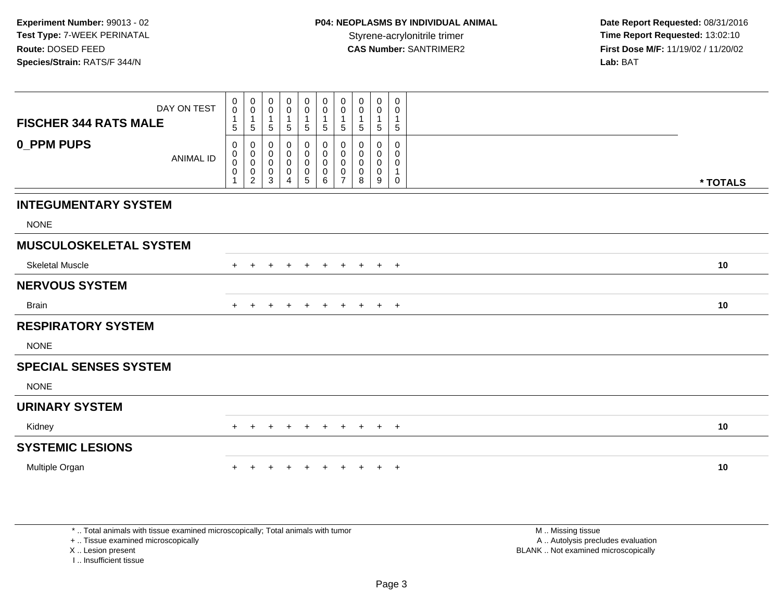| DAY ON TEST                           | $\begin{smallmatrix} 0\\0 \end{smallmatrix}$<br>$\overline{1}$ | $\pmb{0}$<br>$\mathbf 0$<br>$\mathbf{1}$                               | 0<br>0<br>1                     | 0<br>$\pmb{0}$                                                 | 0<br>$\pmb{0}$<br>1                                                  | 0<br>$\mathsf{O}\xspace$<br>1      | $\pmb{0}$<br>$\pmb{0}$<br>$\overline{1}$                   | 0<br>0<br>$\mathbf{1}$ | 0<br>0<br>$\mathbf{1}$                    | 0<br>0<br>$\mathbf{1}$        |          |  |
|---------------------------------------|----------------------------------------------------------------|------------------------------------------------------------------------|---------------------------------|----------------------------------------------------------------|----------------------------------------------------------------------|------------------------------------|------------------------------------------------------------|------------------------|-------------------------------------------|-------------------------------|----------|--|
| <b>FISCHER 344 RATS MALE</b>          | 5                                                              | $\overline{5}$                                                         | 5                               | $\mathbf{1}$<br>$\sqrt{5}$                                     | 5                                                                    | $5\phantom{.0}$                    | $\sqrt{5}$                                                 | 5                      | $\sqrt{5}$                                | $5\phantom{.0}$               |          |  |
| <b>0_PPM PUPS</b><br><b>ANIMAL ID</b> | 0<br>$\boldsymbol{0}$<br>$\mathsf{O}\xspace$<br>0              | $\pmb{0}$<br>$\pmb{0}$<br>$\mathbf 0$<br>$\mathbf 0$<br>$\overline{2}$ | 0<br>0<br>$\mathbf 0$<br>0<br>3 | 0<br>$\mathbf 0$<br>$\mathbf 0$<br>$\pmb{0}$<br>$\overline{A}$ | 0<br>$\pmb{0}$<br>$\pmb{0}$<br>$\begin{array}{c} 0 \\ 5 \end{array}$ | 0<br>$\overline{0}$<br>0<br>0<br>6 | 0<br>$\pmb{0}$<br>$\pmb{0}$<br>$\pmb{0}$<br>$\overline{7}$ | 0<br>0<br>0<br>0<br>8  | 0<br>0<br>$\mathbf 0$<br>$\mathbf 0$<br>9 | 0<br>0<br>0<br>1<br>$\pmb{0}$ | * TOTALS |  |
| <b>INTEGUMENTARY SYSTEM</b>           |                                                                |                                                                        |                                 |                                                                |                                                                      |                                    |                                                            |                        |                                           |                               |          |  |
| <b>NONE</b>                           |                                                                |                                                                        |                                 |                                                                |                                                                      |                                    |                                                            |                        |                                           |                               |          |  |
| <b>MUSCULOSKELETAL SYSTEM</b>         |                                                                |                                                                        |                                 |                                                                |                                                                      |                                    |                                                            |                        |                                           |                               |          |  |
| <b>Skeletal Muscle</b>                |                                                                |                                                                        |                                 |                                                                |                                                                      |                                    |                                                            |                        |                                           | $+$                           | 10       |  |
| <b>NERVOUS SYSTEM</b>                 |                                                                |                                                                        |                                 |                                                                |                                                                      |                                    |                                                            |                        |                                           |                               |          |  |
| <b>Brain</b>                          | $\pm$                                                          |                                                                        |                                 |                                                                | $\overline{+}$                                                       | $\ddot{}$                          | $+$                                                        | $+$                    |                                           | $+$ $+$                       | 10       |  |
| <b>RESPIRATORY SYSTEM</b>             |                                                                |                                                                        |                                 |                                                                |                                                                      |                                    |                                                            |                        |                                           |                               |          |  |
| <b>NONE</b>                           |                                                                |                                                                        |                                 |                                                                |                                                                      |                                    |                                                            |                        |                                           |                               |          |  |
| <b>SPECIAL SENSES SYSTEM</b>          |                                                                |                                                                        |                                 |                                                                |                                                                      |                                    |                                                            |                        |                                           |                               |          |  |
| <b>NONE</b>                           |                                                                |                                                                        |                                 |                                                                |                                                                      |                                    |                                                            |                        |                                           |                               |          |  |
| <b>URINARY SYSTEM</b>                 |                                                                |                                                                        |                                 |                                                                |                                                                      |                                    |                                                            |                        |                                           |                               |          |  |
| Kidney                                |                                                                |                                                                        |                                 |                                                                | $\overline{+}$                                                       | $+$                                | $+$                                                        | $+$                    |                                           | $+$ $+$                       | 10       |  |
| <b>SYSTEMIC LESIONS</b>               |                                                                |                                                                        |                                 |                                                                |                                                                      |                                    |                                                            |                        |                                           |                               |          |  |
| Multiple Organ                        |                                                                |                                                                        |                                 |                                                                | $+$                                                                  | $\ddot{}$                          | $+$                                                        |                        |                                           | $+$                           | 10       |  |

\* .. Total animals with tissue examined microscopically; Total animals with tumor

+ .. Tissue examined microscopically

X .. Lesion present

I .. Insufficient tissue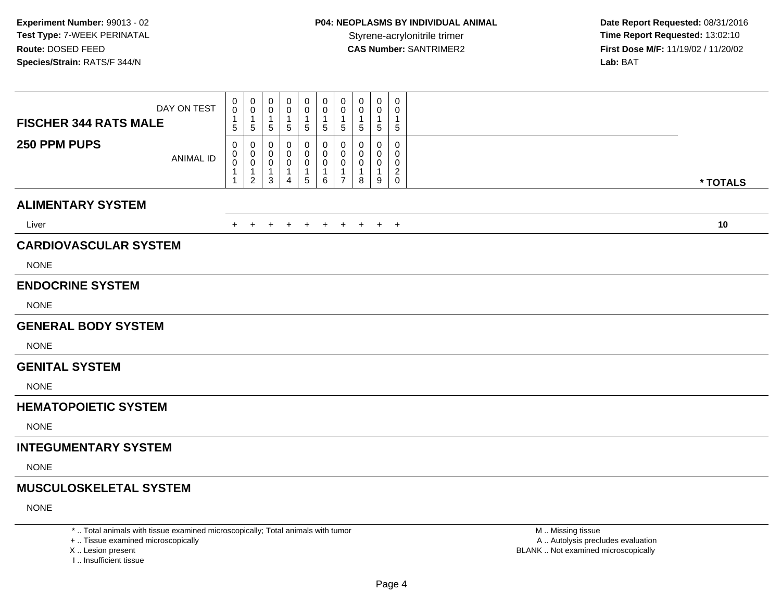| DAY ON TEST<br><b>FISCHER 344 RATS MALE</b> | 0<br>0<br>$\mathbf{1}$<br>5            | 0<br>$\pmb{0}$<br>$\mathbf{1}$<br>$\sqrt{5}$                    | $\mathbf 0$<br>0<br>1<br>$\sqrt{5}$       | 0<br>0<br>$\mathbf 1$<br>5                                | 0<br>0<br>$\mathbf{1}$<br>$\sqrt{5}$      | 0<br>0<br>$\mathbf 1$<br>5          | 0<br>0<br>$\mathbf{1}$<br>5                                       | $\mathbf 0$<br>0<br>1<br>5 | 0<br>0<br>$\mathbf{1}$<br>5             | 0<br>0<br>-1<br>$\sqrt{5}$            |          |
|---------------------------------------------|----------------------------------------|-----------------------------------------------------------------|-------------------------------------------|-----------------------------------------------------------|-------------------------------------------|-------------------------------------|-------------------------------------------------------------------|----------------------------|-----------------------------------------|---------------------------------------|----------|
| 250 PPM PUPS<br><b>ANIMAL ID</b>            | $\Omega$<br>0<br>0<br>$\mathbf 1$<br>1 | 0<br>0<br>$\mathsf{O}\xspace$<br>$\mathbf{1}$<br>$\overline{2}$ | 0<br>$\mathbf 0$<br>$\mathbf 0$<br>1<br>3 | $\mathbf 0$<br>0<br>0<br>$\overline{1}$<br>$\overline{4}$ | 0<br>0<br>0<br>$\mathbf{1}$<br>$\sqrt{5}$ | 0<br>0<br>$\pmb{0}$<br>1<br>$\,6\,$ | 0<br>$\mathbf 0$<br>$\mathbf 0$<br>$\mathbf{1}$<br>$\overline{7}$ | 0<br>0<br>0<br>1<br>8      | $\Omega$<br>0<br>0<br>$\mathbf{1}$<br>9 | $\mathbf 0$<br>0<br>0<br>$^2_{\rm 0}$ | * TOTALS |
| <b>ALIMENTARY SYSTEM</b>                    |                                        |                                                                 |                                           |                                                           |                                           |                                     |                                                                   |                            |                                         |                                       |          |
| Liver                                       | $+$                                    | $+$                                                             | $+$                                       |                                                           |                                           | + + + + + + +                       |                                                                   |                            |                                         |                                       | 10       |
| <b>CARDIOVASCULAR SYSTEM</b>                |                                        |                                                                 |                                           |                                                           |                                           |                                     |                                                                   |                            |                                         |                                       |          |
| <b>NONE</b>                                 |                                        |                                                                 |                                           |                                                           |                                           |                                     |                                                                   |                            |                                         |                                       |          |
| <b>ENDOCRINE SYSTEM</b>                     |                                        |                                                                 |                                           |                                                           |                                           |                                     |                                                                   |                            |                                         |                                       |          |
| <b>NONE</b>                                 |                                        |                                                                 |                                           |                                                           |                                           |                                     |                                                                   |                            |                                         |                                       |          |
| <b>GENERAL BODY SYSTEM</b>                  |                                        |                                                                 |                                           |                                                           |                                           |                                     |                                                                   |                            |                                         |                                       |          |
| <b>NONE</b>                                 |                                        |                                                                 |                                           |                                                           |                                           |                                     |                                                                   |                            |                                         |                                       |          |
| <b>GENITAL SYSTEM</b>                       |                                        |                                                                 |                                           |                                                           |                                           |                                     |                                                                   |                            |                                         |                                       |          |
| <b>NONE</b>                                 |                                        |                                                                 |                                           |                                                           |                                           |                                     |                                                                   |                            |                                         |                                       |          |
| <b>HEMATOPOIETIC SYSTEM</b>                 |                                        |                                                                 |                                           |                                                           |                                           |                                     |                                                                   |                            |                                         |                                       |          |
| <b>NONE</b>                                 |                                        |                                                                 |                                           |                                                           |                                           |                                     |                                                                   |                            |                                         |                                       |          |
| <b>INTEGUMENTARY SYSTEM</b>                 |                                        |                                                                 |                                           |                                                           |                                           |                                     |                                                                   |                            |                                         |                                       |          |
| <b>NONE</b>                                 |                                        |                                                                 |                                           |                                                           |                                           |                                     |                                                                   |                            |                                         |                                       |          |
| <b>MUSCULOSKELETAL SYSTEM</b>               |                                        |                                                                 |                                           |                                                           |                                           |                                     |                                                                   |                            |                                         |                                       |          |
| <b>NONE</b>                                 |                                        |                                                                 |                                           |                                                           |                                           |                                     |                                                                   |                            |                                         |                                       |          |
|                                             |                                        |                                                                 |                                           |                                                           |                                           |                                     |                                                                   |                            |                                         |                                       |          |

+ .. Tissue examined microscopically

X .. Lesion present

I .. Insufficient tissue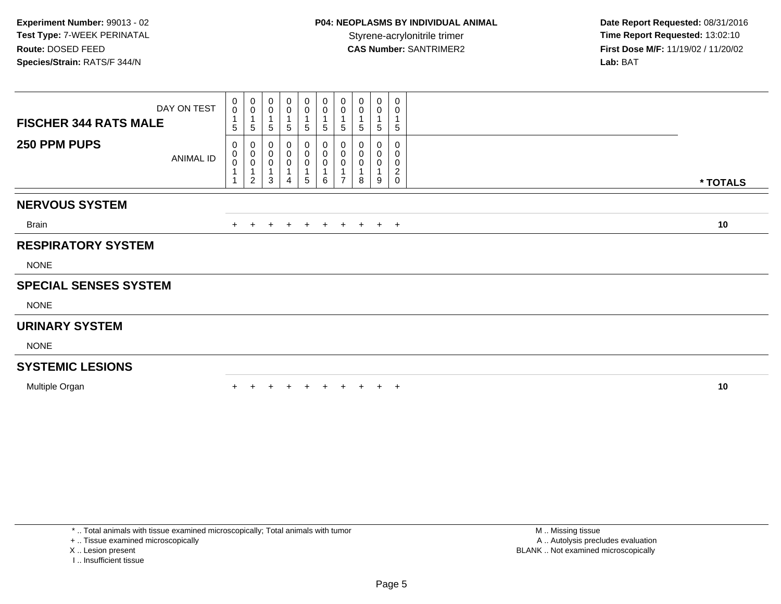| DAY ON TEST<br><b>FISCHER 344 RATS MALE</b><br>250 PPM PUPS | ANIMAL ID | $\pmb{0}$<br>$\mathbf 0$<br>$\mathbf{1}$<br>5<br>0<br>$_{\rm 0}^{\rm 0}$ | $\mathbf 0$<br>$\boldsymbol{0}$<br>1<br>$\sqrt{5}$<br>0<br>$\pmb{0}$ | 0<br>$\pmb{0}$<br>$\sqrt{5}$<br>0<br>$\boldsymbol{0}$ | $\pmb{0}$<br>$\pmb{0}$<br>5<br>0<br>0 | 0<br>$\pmb{0}$<br>1<br>5<br>0<br>$\pmb{0}$ | 0<br>$\mathsf{O}\xspace$<br>5<br>0<br>$\mathsf{O}\xspace$ | $\pmb{0}$<br>$\pmb{0}$<br>$\sqrt{5}$<br>0<br>$\pmb{0}$ | $\begin{smallmatrix} 0\\0 \end{smallmatrix}$<br>$\sqrt{5}$<br>0<br>$\pmb{0}$ | $\pmb{0}$<br>$\pmb{0}$<br>1<br>5<br>0 | $\pmb{0}$<br>0<br>1<br>$\,$ 5 $\,$<br>0<br>$\mathbf 0$ |          |
|-------------------------------------------------------------|-----------|--------------------------------------------------------------------------|----------------------------------------------------------------------|-------------------------------------------------------|---------------------------------------|--------------------------------------------|-----------------------------------------------------------|--------------------------------------------------------|------------------------------------------------------------------------------|---------------------------------------|--------------------------------------------------------|----------|
|                                                             |           | $\mathbf{1}$<br>$\mathbf{1}$                                             | $\pmb{0}$<br>$\overline{1}$<br>$\overline{c}$                        | $\pmb{0}$<br>3                                        | 0<br>4                                | $\pmb{0}$<br>1<br>5                        | 0<br>6                                                    | $\pmb{0}$<br>$\overline{ }$                            | 0<br>8                                                                       | 0<br>9                                | 0<br>$\boldsymbol{2}$<br>$\mathbf 0$                   | * TOTALS |
| <b>NERVOUS SYSTEM</b>                                       |           |                                                                          |                                                                      |                                                       |                                       |                                            |                                                           |                                                        |                                                                              |                                       |                                                        |          |
| <b>Brain</b>                                                |           |                                                                          | $\pm$                                                                | $+$                                                   | $+$                                   | $+$                                        | $+$                                                       | $+$                                                    |                                                                              | $+$ $+$ $+$                           |                                                        | 10       |
| <b>RESPIRATORY SYSTEM</b>                                   |           |                                                                          |                                                                      |                                                       |                                       |                                            |                                                           |                                                        |                                                                              |                                       |                                                        |          |
| <b>NONE</b>                                                 |           |                                                                          |                                                                      |                                                       |                                       |                                            |                                                           |                                                        |                                                                              |                                       |                                                        |          |
| <b>SPECIAL SENSES SYSTEM</b>                                |           |                                                                          |                                                                      |                                                       |                                       |                                            |                                                           |                                                        |                                                                              |                                       |                                                        |          |
| <b>NONE</b>                                                 |           |                                                                          |                                                                      |                                                       |                                       |                                            |                                                           |                                                        |                                                                              |                                       |                                                        |          |
| <b>URINARY SYSTEM</b>                                       |           |                                                                          |                                                                      |                                                       |                                       |                                            |                                                           |                                                        |                                                                              |                                       |                                                        |          |
| <b>NONE</b>                                                 |           |                                                                          |                                                                      |                                                       |                                       |                                            |                                                           |                                                        |                                                                              |                                       |                                                        |          |
| <b>SYSTEMIC LESIONS</b>                                     |           |                                                                          |                                                                      |                                                       |                                       |                                            |                                                           |                                                        |                                                                              |                                       |                                                        |          |
| Multiple Organ                                              |           |                                                                          |                                                                      |                                                       |                                       |                                            |                                                           |                                                        |                                                                              | $+$                                   | $+$                                                    | 10       |

\* .. Total animals with tissue examined microscopically; Total animals with tumor

+ .. Tissue examined microscopically

X .. Lesion present

I .. Insufficient tissue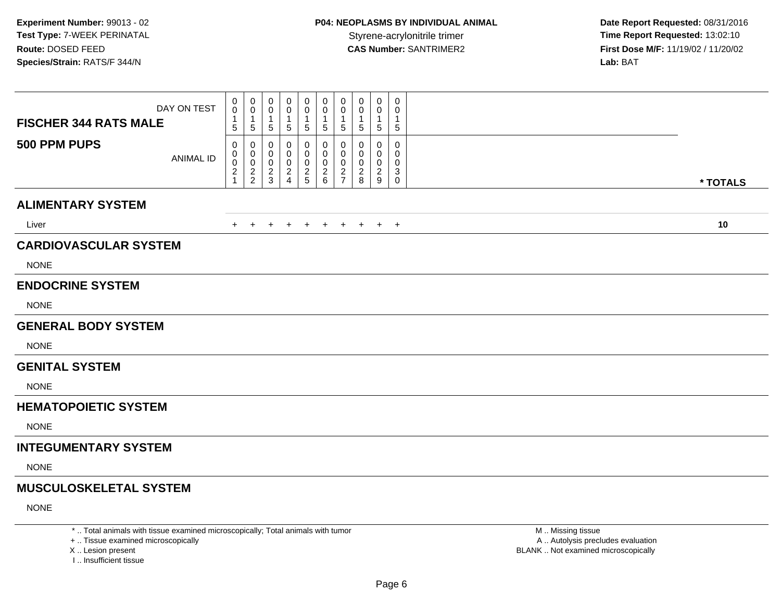| DAY ON TEST<br><b>FISCHER 344 RATS MALE</b> | 0<br>$\mathbf 0$<br>5         | 0<br>0<br>$\overline{\mathbf{1}}$<br>$\overline{5}$ | 0<br>0<br>-1<br>$\sqrt{5}$                   | 0<br>0<br>1<br>5                                | 0<br>0<br>1<br>5                   | 0<br>0<br>1<br>5             | 0<br>0<br>-1<br>$\sqrt{5}$                                                 | $\mathbf 0$<br>0<br>$\mathbf 1$<br>5 | 0<br>0<br>$\mathbf{1}$<br>$\sqrt{5}$      | $\pmb{0}$<br>0<br>$\mathbf{1}$<br>$\sqrt{5}$ |          |
|---------------------------------------------|-------------------------------|-----------------------------------------------------|----------------------------------------------|-------------------------------------------------|------------------------------------|------------------------------|----------------------------------------------------------------------------|--------------------------------------|-------------------------------------------|----------------------------------------------|----------|
| 500 PPM PUPS<br><b>ANIMAL ID</b>            | 0<br>0<br>0<br>$\overline{a}$ | 0<br>0<br>$\boldsymbol{0}$<br>$\frac{2}{2}$         | 0<br>0<br>$\mathbf 0$<br>$\overline{c}$<br>3 | 0<br>0<br>0<br>$\overline{2}$<br>$\overline{4}$ | 0<br>0<br>0<br>$\overline{c}$<br>5 | 0<br>0<br>0<br>$\frac{2}{6}$ | $\Omega$<br>$\mathbf 0$<br>$\mathbf 0$<br>$\overline{c}$<br>$\overline{7}$ | 0<br>0<br>0<br>$\overline{c}$<br>8   | $\Omega$<br>0<br>0<br>$\overline{2}$<br>9 | 0<br>0<br>0<br>$\mathbf{3}$<br>$\mathbf 0$   | * TOTALS |
| <b>ALIMENTARY SYSTEM</b>                    |                               |                                                     |                                              |                                                 |                                    |                              |                                                                            |                                      |                                           |                                              |          |
| Liver                                       | $+$                           | $+$                                                 | $+$                                          | $+$                                             | $+$                                | $+$                          | $+$                                                                        | $+$                                  |                                           | $+$ $+$                                      | 10       |
| <b>CARDIOVASCULAR SYSTEM</b>                |                               |                                                     |                                              |                                                 |                                    |                              |                                                                            |                                      |                                           |                                              |          |
| <b>NONE</b>                                 |                               |                                                     |                                              |                                                 |                                    |                              |                                                                            |                                      |                                           |                                              |          |
| <b>ENDOCRINE SYSTEM</b>                     |                               |                                                     |                                              |                                                 |                                    |                              |                                                                            |                                      |                                           |                                              |          |
| <b>NONE</b>                                 |                               |                                                     |                                              |                                                 |                                    |                              |                                                                            |                                      |                                           |                                              |          |
| <b>GENERAL BODY SYSTEM</b>                  |                               |                                                     |                                              |                                                 |                                    |                              |                                                                            |                                      |                                           |                                              |          |
| <b>NONE</b>                                 |                               |                                                     |                                              |                                                 |                                    |                              |                                                                            |                                      |                                           |                                              |          |
| <b>GENITAL SYSTEM</b>                       |                               |                                                     |                                              |                                                 |                                    |                              |                                                                            |                                      |                                           |                                              |          |
| <b>NONE</b>                                 |                               |                                                     |                                              |                                                 |                                    |                              |                                                                            |                                      |                                           |                                              |          |
| <b>HEMATOPOIETIC SYSTEM</b>                 |                               |                                                     |                                              |                                                 |                                    |                              |                                                                            |                                      |                                           |                                              |          |
| <b>NONE</b>                                 |                               |                                                     |                                              |                                                 |                                    |                              |                                                                            |                                      |                                           |                                              |          |
| <b>INTEGUMENTARY SYSTEM</b>                 |                               |                                                     |                                              |                                                 |                                    |                              |                                                                            |                                      |                                           |                                              |          |
| <b>NONE</b>                                 |                               |                                                     |                                              |                                                 |                                    |                              |                                                                            |                                      |                                           |                                              |          |
| <b>MUSCULOSKELETAL SYSTEM</b>               |                               |                                                     |                                              |                                                 |                                    |                              |                                                                            |                                      |                                           |                                              |          |
| <b>NONE</b>                                 |                               |                                                     |                                              |                                                 |                                    |                              |                                                                            |                                      |                                           |                                              |          |
|                                             |                               |                                                     |                                              |                                                 |                                    |                              |                                                                            |                                      |                                           |                                              |          |

\* .. Total animals with tissue examined microscopically; Total animals with tumor

+ .. Tissue examined microscopically

X .. Lesion present

I .. Insufficient tissue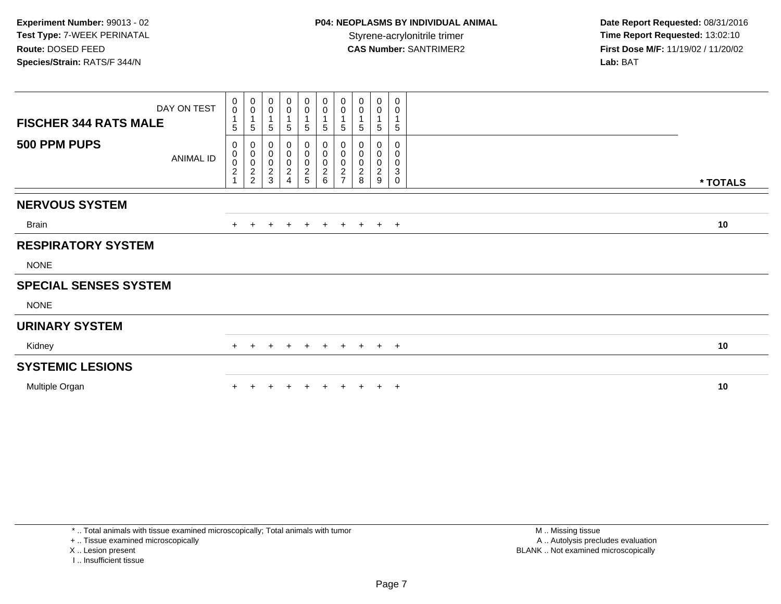| <b>FISCHER 344 RATS MALE</b> | DAY ON TEST      | 0<br>$\mathbf 0$<br>5                                          | $_{\rm 0}^{\rm 0}$<br>$\overline{1}$<br>5 | $\pmb{0}$<br>$\mathbf 0$<br>$\mathbf{1}$<br>5 | $\pmb{0}$<br>$\mathbf 0$<br>1<br>5                                  | $\begin{smallmatrix} 0\\0 \end{smallmatrix}$<br>$5\overline{)}$ | $_{\rm 0}^{\rm 0}$<br>$\mathbf 1$<br>$\overline{5}$ | $\pmb{0}$<br>$\pmb{0}$<br>5       | 0<br>0<br>5            | $_{\rm 0}^{\rm 0}$<br>$\sqrt{5}$ | $\boldsymbol{0}$<br>$\pmb{0}$<br>1<br>$\overline{5}$                              |          |
|------------------------------|------------------|----------------------------------------------------------------|-------------------------------------------|-----------------------------------------------|---------------------------------------------------------------------|-----------------------------------------------------------------|-----------------------------------------------------|-----------------------------------|------------------------|----------------------------------|-----------------------------------------------------------------------------------|----------|
| 500 PPM PUPS                 | <b>ANIMAL ID</b> | 0<br>$\mathbf 0$<br>$\begin{array}{c} 0 \\ 2 \\ 1 \end{array}$ | $0000$<br>22                              | 0<br>$\pmb{0}$<br>$\pmb{0}$<br>$\frac{2}{3}$  | 0<br>$\pmb{0}$<br>$\pmb{0}$<br>$\sqrt{2}$<br>$\boldsymbol{\Lambda}$ | 0<br>$\mathbf 0$<br>$\pmb{0}$<br>$\frac{2}{5}$                  | $_{\rm 0}^{\rm 0}$<br>$\frac{0}{2}$ 6               | 0<br>$\mathsf 0$<br>$\frac{0}{2}$ | 0<br>0<br>$_{\rm 8}^2$ | 0<br>$\pmb{0}$<br>$\frac{0}{2}$  | 0<br>$\mathsf{O}\xspace$<br>$\pmb{0}$<br>$\ensuremath{\mathsf{3}}$<br>$\mathbf 0$ | * TOTALS |
| <b>NERVOUS SYSTEM</b>        |                  |                                                                |                                           |                                               |                                                                     |                                                                 |                                                     |                                   |                        |                                  |                                                                                   |          |
| Brain                        |                  |                                                                |                                           | $\div$                                        | $\pm$                                                               | $\overline{+}$                                                  | $+$                                                 | $+$                               | $+$                    |                                  | $+$ $+$                                                                           | 10       |
| <b>RESPIRATORY SYSTEM</b>    |                  |                                                                |                                           |                                               |                                                                     |                                                                 |                                                     |                                   |                        |                                  |                                                                                   |          |
| <b>NONE</b>                  |                  |                                                                |                                           |                                               |                                                                     |                                                                 |                                                     |                                   |                        |                                  |                                                                                   |          |
| <b>SPECIAL SENSES SYSTEM</b> |                  |                                                                |                                           |                                               |                                                                     |                                                                 |                                                     |                                   |                        |                                  |                                                                                   |          |
| <b>NONE</b>                  |                  |                                                                |                                           |                                               |                                                                     |                                                                 |                                                     |                                   |                        |                                  |                                                                                   |          |
| <b>URINARY SYSTEM</b>        |                  |                                                                |                                           |                                               |                                                                     |                                                                 |                                                     |                                   |                        |                                  |                                                                                   |          |
| Kidney                       |                  | $+$                                                            |                                           | $\ddot{}$                                     | $\ddot{}$                                                           | $+$                                                             | $+$                                                 | $+$                               | $+$                    |                                  | $+$ $+$                                                                           | 10       |
| <b>SYSTEMIC LESIONS</b>      |                  |                                                                |                                           |                                               |                                                                     |                                                                 |                                                     |                                   |                        |                                  |                                                                                   |          |
| Multiple Organ               |                  |                                                                |                                           |                                               |                                                                     |                                                                 |                                                     | ÷                                 |                        | ÷                                | $\overline{+}$                                                                    | 10       |

\* .. Total animals with tissue examined microscopically; Total animals with tumor

+ .. Tissue examined microscopically

X .. Lesion present

I .. Insufficient tissue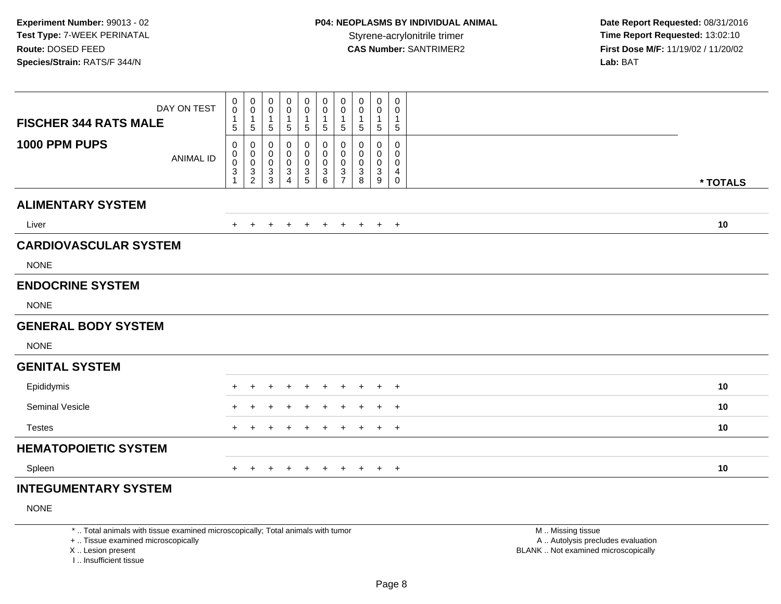| DAY ON TEST                       | 0<br>$\mathsf{O}\xspace$                           | $\begin{smallmatrix}0\0\0\end{smallmatrix}$<br>$\mathbf{1}$                                    | $\mathbf 0$<br>$\pmb{0}$                                                                             | 0<br>0                                                             | $\begin{smallmatrix} 0\\0 \end{smallmatrix}$           | 0<br>0<br>$\overline{1}$                                      | 0<br>$\pmb{0}$<br>$\mathbf{1}$                                                       | 0<br>0                          | $\mathbf 0$<br>0                                      | 0<br>0                                           |          |
|-----------------------------------|----------------------------------------------------|------------------------------------------------------------------------------------------------|------------------------------------------------------------------------------------------------------|--------------------------------------------------------------------|--------------------------------------------------------|---------------------------------------------------------------|--------------------------------------------------------------------------------------|---------------------------------|-------------------------------------------------------|--------------------------------------------------|----------|
| <b>FISCHER 344 RATS MALE</b>      | $\mathbf{1}$<br>5                                  | $\sqrt{5}$                                                                                     | $\mathbf{1}$<br>$\mathbf 5$                                                                          | $\mathbf{1}$<br>$\sqrt{5}$                                         | $\mathbf{1}$<br>$\sqrt{5}$                             | $\,$ 5 $\,$                                                   | $\sqrt{5}$                                                                           | 1<br>5                          | $\mathbf{1}$<br>$\sqrt{5}$                            | $\mathbf{1}$<br>$\sqrt{5}$                       |          |
| 1000 PPM PUPS<br><b>ANIMAL ID</b> | 0<br>0<br>$\mathbf 0$<br>$\ensuremath{\mathsf{3}}$ | 0<br>$\begin{smallmatrix}0\\0\end{smallmatrix}$<br>$\ensuremath{\mathsf{3}}$<br>$\overline{c}$ | $\pmb{0}$<br>$\begin{smallmatrix} 0\\0 \end{smallmatrix}$<br>$\ensuremath{\mathsf{3}}$<br>$\sqrt{3}$ | 0<br>0<br>$\pmb{0}$<br>$\ensuremath{\mathsf{3}}$<br>$\overline{4}$ | $\pmb{0}$<br>$\mathsf 0$<br>$\pmb{0}$<br>$\frac{3}{5}$ | 0<br>$\pmb{0}$<br>$\pmb{0}$<br>$\ensuremath{\mathsf{3}}$<br>6 | $\pmb{0}$<br>$\mathbf 0$<br>$\pmb{0}$<br>$\ensuremath{\mathsf{3}}$<br>$\overline{7}$ | 0<br>0<br>$\mathbf 0$<br>3<br>8 | 0<br>0<br>$\pmb{0}$<br>$\ensuremath{\mathsf{3}}$<br>9 | $\Omega$<br>0<br>$\mathbf 0$<br>4<br>$\mathbf 0$ | * TOTALS |
| <b>ALIMENTARY SYSTEM</b>          |                                                    |                                                                                                |                                                                                                      |                                                                    |                                                        |                                                               |                                                                                      |                                 |                                                       |                                                  |          |
| Liver                             | $+$                                                | $\ddot{}$                                                                                      | $\ddot{}$                                                                                            | $\ddot{}$                                                          | $\overline{+}$                                         | $+$                                                           | $+$                                                                                  | $+$                             |                                                       | $+$ $+$                                          | 10       |
| <b>CARDIOVASCULAR SYSTEM</b>      |                                                    |                                                                                                |                                                                                                      |                                                                    |                                                        |                                                               |                                                                                      |                                 |                                                       |                                                  |          |
| <b>NONE</b>                       |                                                    |                                                                                                |                                                                                                      |                                                                    |                                                        |                                                               |                                                                                      |                                 |                                                       |                                                  |          |
| <b>ENDOCRINE SYSTEM</b>           |                                                    |                                                                                                |                                                                                                      |                                                                    |                                                        |                                                               |                                                                                      |                                 |                                                       |                                                  |          |
| <b>NONE</b>                       |                                                    |                                                                                                |                                                                                                      |                                                                    |                                                        |                                                               |                                                                                      |                                 |                                                       |                                                  |          |
| <b>GENERAL BODY SYSTEM</b>        |                                                    |                                                                                                |                                                                                                      |                                                                    |                                                        |                                                               |                                                                                      |                                 |                                                       |                                                  |          |
| <b>NONE</b>                       |                                                    |                                                                                                |                                                                                                      |                                                                    |                                                        |                                                               |                                                                                      |                                 |                                                       |                                                  |          |
| <b>GENITAL SYSTEM</b>             |                                                    |                                                                                                |                                                                                                      |                                                                    |                                                        |                                                               |                                                                                      |                                 |                                                       |                                                  |          |
| Epididymis                        | $\ddot{}$                                          | $\ddot{}$                                                                                      | +                                                                                                    | $\ddot{}$                                                          |                                                        | $\ddot{}$                                                     | $\overline{+}$                                                                       | $\ddot{}$                       | $+$                                                   | $+$                                              | 10       |
| Seminal Vesicle                   |                                                    |                                                                                                | ٠                                                                                                    |                                                                    |                                                        | $\div$                                                        | $\pm$                                                                                | $\div$                          | $+$                                                   | $+$                                              | 10       |
| <b>Testes</b>                     |                                                    |                                                                                                | ÷                                                                                                    |                                                                    |                                                        | $\ddot{}$                                                     | $\pm$                                                                                | ÷                               | $+$                                                   | $+$                                              | 10       |
| <b>HEMATOPOIETIC SYSTEM</b>       |                                                    |                                                                                                |                                                                                                      |                                                                    |                                                        |                                                               |                                                                                      |                                 |                                                       |                                                  |          |
| Spleen                            | $+$                                                | $\pm$                                                                                          | $\pm$                                                                                                | $\pm$                                                              | $\pm$                                                  | $+$                                                           | $+$                                                                                  | $+$                             |                                                       | $+$ $+$                                          | 10       |
|                                   |                                                    |                                                                                                |                                                                                                      |                                                                    |                                                        |                                                               |                                                                                      |                                 |                                                       |                                                  |          |

# **INTEGUMENTARY SYSTEM**

NONE

\* .. Total animals with tissue examined microscopically; Total animals with tumor

+ .. Tissue examined microscopically

X .. Lesion present

I .. Insufficient tissue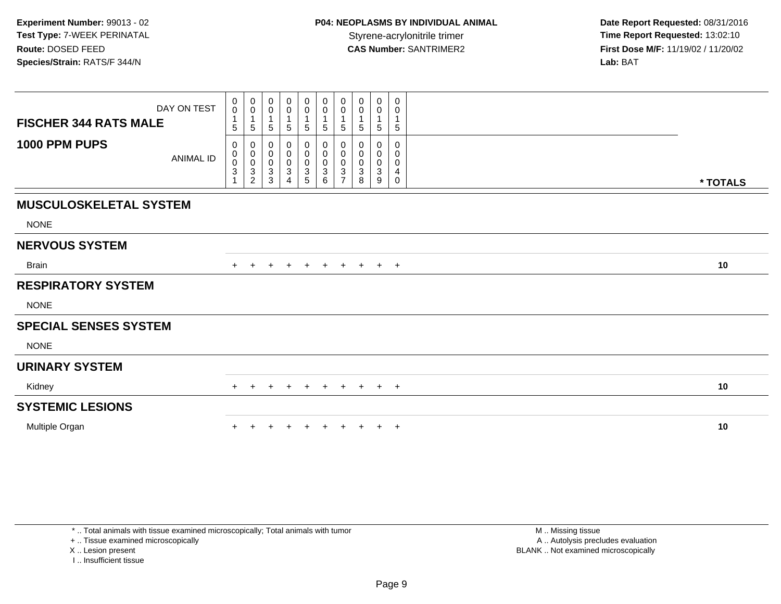| <b>FISCHER 344 RATS MALE</b>  | DAY ON TEST      | 0<br>$\pmb{0}$<br>1<br>5                                        | $\mathbf 0$<br>$\pmb{0}$<br>$\mathbf{1}$<br>$\sqrt{5}$                     | 0<br>$\mathbf 0$<br>5                                                     | 0<br>0<br>5                                | $\pmb{0}$<br>$\pmb{0}$<br>5                                            | $\mathbf 0$<br>$\mathbf 0$<br>$\sqrt{5}$                          | $\pmb{0}$<br>$\pmb{0}$<br>$\overline{1}$<br>$\overline{5}$            | 0<br>0<br>5                   | 0<br>0<br>1<br>5              | 0<br>0<br>5           |          |
|-------------------------------|------------------|-----------------------------------------------------------------|----------------------------------------------------------------------------|---------------------------------------------------------------------------|--------------------------------------------|------------------------------------------------------------------------|-------------------------------------------------------------------|-----------------------------------------------------------------------|-------------------------------|-------------------------------|-----------------------|----------|
| 1000 PPM PUPS                 | <b>ANIMAL ID</b> | 0<br>0<br>$\ddot{\mathbf{0}}$<br>$\ensuremath{\mathsf{3}}$<br>1 | 0<br>$\pmb{0}$<br>$\pmb{0}$<br>$\ensuremath{\mathsf{3}}$<br>$\overline{2}$ | 0<br>$\mathbf 0$<br>$\mathsf{O}\xspace$<br>$\ensuremath{\mathsf{3}}$<br>3 | 0<br>0<br>$\pmb{0}$<br>3<br>$\overline{4}$ | 0<br>$\pmb{0}$<br>$\pmb{0}$<br>$\ensuremath{\mathsf{3}}$<br>$\sqrt{5}$ | 0<br>$\mathbf 0$<br>$\mathbf 0$<br>$\ensuremath{\mathsf{3}}$<br>6 | 0<br>$\ddot{\mathbf{0}}$<br>$\pmb{0}$<br>$\sqrt{3}$<br>$\overline{7}$ | 0<br>0<br>$\pmb{0}$<br>3<br>8 | 0<br>0<br>$\pmb{0}$<br>3<br>9 | 0<br>0<br>0<br>4<br>0 | * TOTALS |
| <b>MUSCULOSKELETAL SYSTEM</b> |                  |                                                                 |                                                                            |                                                                           |                                            |                                                                        |                                                                   |                                                                       |                               |                               |                       |          |
| <b>NONE</b>                   |                  |                                                                 |                                                                            |                                                                           |                                            |                                                                        |                                                                   |                                                                       |                               |                               |                       |          |
| <b>NERVOUS SYSTEM</b>         |                  |                                                                 |                                                                            |                                                                           |                                            |                                                                        |                                                                   |                                                                       |                               |                               |                       |          |
| <b>Brain</b>                  |                  | $+$                                                             |                                                                            | $\pm$                                                                     | $\pm$                                      | $+$                                                                    | $+$                                                               | $+$                                                                   | $+$                           |                               | $+$ $+$               | 10       |
| <b>RESPIRATORY SYSTEM</b>     |                  |                                                                 |                                                                            |                                                                           |                                            |                                                                        |                                                                   |                                                                       |                               |                               |                       |          |
| <b>NONE</b>                   |                  |                                                                 |                                                                            |                                                                           |                                            |                                                                        |                                                                   |                                                                       |                               |                               |                       |          |
| <b>SPECIAL SENSES SYSTEM</b>  |                  |                                                                 |                                                                            |                                                                           |                                            |                                                                        |                                                                   |                                                                       |                               |                               |                       |          |
| <b>NONE</b>                   |                  |                                                                 |                                                                            |                                                                           |                                            |                                                                        |                                                                   |                                                                       |                               |                               |                       |          |
| <b>URINARY SYSTEM</b>         |                  |                                                                 |                                                                            |                                                                           |                                            |                                                                        |                                                                   |                                                                       |                               |                               |                       |          |
| Kidney                        |                  | $\pm$                                                           | $+$                                                                        | $+$                                                                       | $+$                                        | $+$                                                                    | $+$                                                               | $+$                                                                   | $+$                           | $+$ $+$                       |                       | 10       |
| <b>SYSTEMIC LESIONS</b>       |                  |                                                                 |                                                                            |                                                                           |                                            |                                                                        |                                                                   |                                                                       |                               |                               |                       |          |
| Multiple Organ                |                  |                                                                 |                                                                            |                                                                           |                                            |                                                                        |                                                                   |                                                                       |                               | $+$                           | $+$                   | 10       |

+ .. Tissue examined microscopically

X .. Lesion present

I .. Insufficient tissue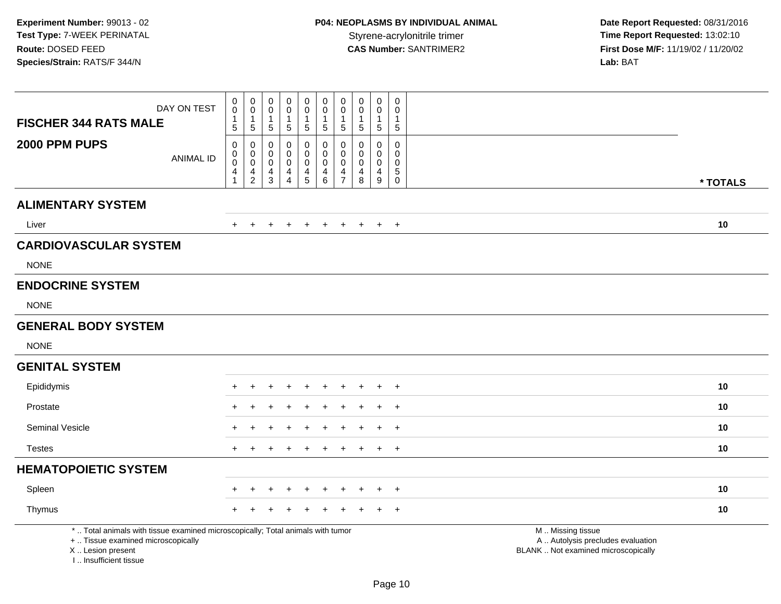| <b>FISCHER 344 RATS MALE</b>                                                     | DAY ON TEST                                                                     | $\,0\,$<br>$\mathbf 0$<br>1                           | $\pmb{0}$<br>$\mathbf 0$<br>$\mathbf{1}$                            | 0<br>$\pmb{0}$<br>$\mathbf 1$                                  | $\boldsymbol{0}$<br>$\mathsf 0$<br>$\mathbf{1}$                     | $\mathsf{O}\xspace$<br>$\mathbf 0$<br>$\mathbf{1}$ | $\pmb{0}$<br>$\mathsf{O}\xspace$<br>$\mathbf{1}$                            | $\pmb{0}$<br>$\pmb{0}$<br>$\mathbf{1}$                                        | $\pmb{0}$<br>$\pmb{0}$<br>$\mathbf 1$  | $\pmb{0}$<br>$\mathsf{O}\xspace$<br>$\mathbf{1}$                 | $\boldsymbol{0}$<br>$\mathbf 0$<br>$\overline{1}$                    |                                                                                               |          |
|----------------------------------------------------------------------------------|---------------------------------------------------------------------------------|-------------------------------------------------------|---------------------------------------------------------------------|----------------------------------------------------------------|---------------------------------------------------------------------|----------------------------------------------------|-----------------------------------------------------------------------------|-------------------------------------------------------------------------------|----------------------------------------|------------------------------------------------------------------|----------------------------------------------------------------------|-----------------------------------------------------------------------------------------------|----------|
|                                                                                  |                                                                                 | 5                                                     | $\sqrt{5}$                                                          | 5                                                              | 5                                                                   | 5                                                  | $\sqrt{5}$                                                                  | $\sqrt{5}$                                                                    | $\sqrt{5}$                             | $\overline{5}$                                                   | $\sqrt{5}$                                                           |                                                                                               |          |
| 2000 PPM PUPS                                                                    | <b>ANIMAL ID</b>                                                                | 0<br>$\pmb{0}$<br>$\overline{0}$<br>4<br>$\mathbf{1}$ | $\mathbf 0$<br>$\mathbf 0$<br>$\overline{0}$<br>4<br>$\overline{2}$ | $\mathbf 0$<br>$\mathbf 0$<br>$\mathbf 0$<br>4<br>$\mathbf{3}$ | 0<br>$\mathbf 0$<br>$\mathsf 0$<br>$\overline{4}$<br>$\overline{4}$ | 0<br>0<br>$\mathbf 0$<br>4<br>$\overline{5}$       | 0<br>$\mathbf 0$<br>$\overline{0}$<br>$\begin{array}{c} 4 \\ 6 \end{array}$ | $\mathbf 0$<br>$\mathbf 0$<br>$\mathbf 0$<br>$\overline{4}$<br>$\overline{7}$ | $\Omega$<br>$\mathbf 0$<br>0<br>4<br>8 | $\mathbf 0$<br>$\mathbf 0$<br>$\mathbf 0$<br>$\overline{4}$<br>9 | 0<br>$\mathbf 0$<br>$\mathbf 0$<br>$\sqrt{5}$<br>$\mathsf{O}\xspace$ |                                                                                               | * TOTALS |
| <b>ALIMENTARY SYSTEM</b>                                                         |                                                                                 |                                                       |                                                                     |                                                                |                                                                     |                                                    |                                                                             |                                                                               |                                        |                                                                  |                                                                      |                                                                                               |          |
| Liver                                                                            |                                                                                 | $\pm$                                                 | $\ddot{}$                                                           | $\ddot{}$                                                      | $\ddot{}$                                                           | $+$                                                | $+$                                                                         | $+$                                                                           | $+$                                    | $+$                                                              | $+$                                                                  |                                                                                               | 10       |
| <b>CARDIOVASCULAR SYSTEM</b>                                                     |                                                                                 |                                                       |                                                                     |                                                                |                                                                     |                                                    |                                                                             |                                                                               |                                        |                                                                  |                                                                      |                                                                                               |          |
| <b>NONE</b>                                                                      |                                                                                 |                                                       |                                                                     |                                                                |                                                                     |                                                    |                                                                             |                                                                               |                                        |                                                                  |                                                                      |                                                                                               |          |
| <b>ENDOCRINE SYSTEM</b>                                                          |                                                                                 |                                                       |                                                                     |                                                                |                                                                     |                                                    |                                                                             |                                                                               |                                        |                                                                  |                                                                      |                                                                                               |          |
| <b>NONE</b>                                                                      |                                                                                 |                                                       |                                                                     |                                                                |                                                                     |                                                    |                                                                             |                                                                               |                                        |                                                                  |                                                                      |                                                                                               |          |
| <b>GENERAL BODY SYSTEM</b>                                                       |                                                                                 |                                                       |                                                                     |                                                                |                                                                     |                                                    |                                                                             |                                                                               |                                        |                                                                  |                                                                      |                                                                                               |          |
| <b>NONE</b>                                                                      |                                                                                 |                                                       |                                                                     |                                                                |                                                                     |                                                    |                                                                             |                                                                               |                                        |                                                                  |                                                                      |                                                                                               |          |
| <b>GENITAL SYSTEM</b>                                                            |                                                                                 |                                                       |                                                                     |                                                                |                                                                     |                                                    |                                                                             |                                                                               |                                        |                                                                  |                                                                      |                                                                                               |          |
| Epididymis                                                                       |                                                                                 | $\pm$                                                 |                                                                     |                                                                |                                                                     | $\div$                                             | $\ddot{}$                                                                   | $\ddot{}$                                                                     | $\ddot{}$                              | $\overline{+}$                                                   | $^{+}$                                                               |                                                                                               | 10       |
| Prostate                                                                         |                                                                                 |                                                       |                                                                     |                                                                |                                                                     |                                                    |                                                                             |                                                                               |                                        |                                                                  | $+$                                                                  |                                                                                               | 10       |
| <b>Seminal Vesicle</b>                                                           |                                                                                 |                                                       |                                                                     |                                                                |                                                                     |                                                    |                                                                             |                                                                               |                                        |                                                                  | $\ddot{}$                                                            |                                                                                               | 10       |
| <b>Testes</b>                                                                    |                                                                                 | $\ddot{}$                                             |                                                                     | ÷                                                              |                                                                     | $\overline{+}$                                     | $+$                                                                         | $+$                                                                           | $\ddot{}$                              | $+$                                                              | $+$                                                                  |                                                                                               | 10       |
| <b>HEMATOPOIETIC SYSTEM</b>                                                      |                                                                                 |                                                       |                                                                     |                                                                |                                                                     |                                                    |                                                                             |                                                                               |                                        |                                                                  |                                                                      |                                                                                               |          |
| Spleen                                                                           |                                                                                 |                                                       |                                                                     |                                                                |                                                                     |                                                    | $\div$                                                                      | $\mathbf +$                                                                   |                                        |                                                                  | $+$                                                                  |                                                                                               | 10       |
| Thymus                                                                           |                                                                                 |                                                       |                                                                     |                                                                |                                                                     |                                                    |                                                                             |                                                                               |                                        |                                                                  |                                                                      |                                                                                               | 10       |
| +  Tissue examined microscopically<br>X  Lesion present<br>I Insufficient tissue | *  Total animals with tissue examined microscopically; Total animals with tumor |                                                       |                                                                     |                                                                |                                                                     |                                                    |                                                                             |                                                                               |                                        |                                                                  |                                                                      | M  Missing tissue<br>A  Autolysis precludes evaluation<br>BLANK  Not examined microscopically |          |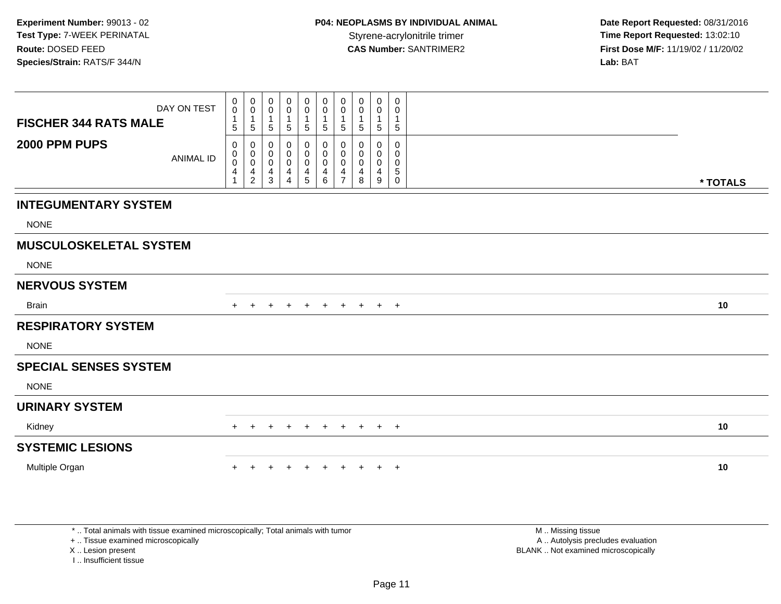| DAY ON TEST                       | $\pmb{0}$<br>$\mathbf 0$<br>1 | 0<br>0<br>$\mathbf{1}$                                          | 0<br>0<br>$\mathbf{1}$ | 0<br>0<br>$\mathbf{1}$                     | $\mathbf 0$<br>$\pmb{0}$<br>$\mathbf{1}$ | $\mathbf 0$<br>0<br>-1              | 0<br>$\mathbf 0$<br>$\mathbf{1}$             | 0<br>0                          | $\pmb{0}$<br>0<br>$\mathbf{1}$ | 0<br>0<br>$\mathbf{1}$                    |          |  |
|-----------------------------------|-------------------------------|-----------------------------------------------------------------|------------------------|--------------------------------------------|------------------------------------------|-------------------------------------|----------------------------------------------|---------------------------------|--------------------------------|-------------------------------------------|----------|--|
| <b>FISCHER 344 RATS MALE</b>      | 5                             | $5\,$                                                           | 5                      | $5\phantom{.0}$                            | $\sqrt{5}$                               | $\sqrt{5}$                          | $\sqrt{5}$                                   | 5                               | $\sqrt{5}$                     | $\sqrt{5}$                                |          |  |
| 2000 PPM PUPS<br><b>ANIMAL ID</b> | 0<br>0<br>0<br>4<br>1         | 0<br>$\pmb{0}$<br>$\pmb{0}$<br>$\overline{4}$<br>$\overline{2}$ | 0<br>0<br>0<br>4<br>3  | 0<br>0<br>$\pmb{0}$<br>4<br>$\overline{4}$ | 0<br>$\pmb{0}$<br>$\pmb{0}$<br>4<br>5    | 0<br>0<br>$\pmb{0}$<br>4<br>$\,6\,$ | 0<br>0<br>$\mathbf 0$<br>4<br>$\overline{7}$ | 0<br>0<br>$\mathbf 0$<br>4<br>8 | 0<br>0<br>0<br>4<br>9          | $\mathbf 0$<br>0<br>0<br>$\,$ 5 $\,$<br>0 | * TOTALS |  |
| <b>INTEGUMENTARY SYSTEM</b>       |                               |                                                                 |                        |                                            |                                          |                                     |                                              |                                 |                                |                                           |          |  |
| <b>NONE</b>                       |                               |                                                                 |                        |                                            |                                          |                                     |                                              |                                 |                                |                                           |          |  |
| <b>MUSCULOSKELETAL SYSTEM</b>     |                               |                                                                 |                        |                                            |                                          |                                     |                                              |                                 |                                |                                           |          |  |
| <b>NONE</b>                       |                               |                                                                 |                        |                                            |                                          |                                     |                                              |                                 |                                |                                           |          |  |
| <b>NERVOUS SYSTEM</b>             |                               |                                                                 |                        |                                            |                                          |                                     |                                              |                                 |                                |                                           |          |  |
| <b>Brain</b>                      | $+$                           |                                                                 | ٠                      |                                            | $\div$                                   | $+$                                 | $+$                                          | $+$                             |                                | $+$ $+$                                   | 10       |  |
| <b>RESPIRATORY SYSTEM</b>         |                               |                                                                 |                        |                                            |                                          |                                     |                                              |                                 |                                |                                           |          |  |
| <b>NONE</b>                       |                               |                                                                 |                        |                                            |                                          |                                     |                                              |                                 |                                |                                           |          |  |
| <b>SPECIAL SENSES SYSTEM</b>      |                               |                                                                 |                        |                                            |                                          |                                     |                                              |                                 |                                |                                           |          |  |
| <b>NONE</b>                       |                               |                                                                 |                        |                                            |                                          |                                     |                                              |                                 |                                |                                           |          |  |
| <b>URINARY SYSTEM</b>             |                               |                                                                 |                        |                                            |                                          |                                     |                                              |                                 |                                |                                           |          |  |
| Kidney                            | $+$                           | $\pm$                                                           | $+$                    | $+$                                        | $+$                                      | $+$                                 | $+$                                          | $+$                             |                                | $+$ $+$                                   | 10       |  |
| <b>SYSTEMIC LESIONS</b>           |                               |                                                                 |                        |                                            |                                          |                                     |                                              |                                 |                                |                                           |          |  |
| Multiple Organ                    |                               |                                                                 |                        |                                            |                                          |                                     |                                              |                                 | $+$                            | $+$                                       | 10       |  |

+ .. Tissue examined microscopically

X .. Lesion present

I .. Insufficient tissue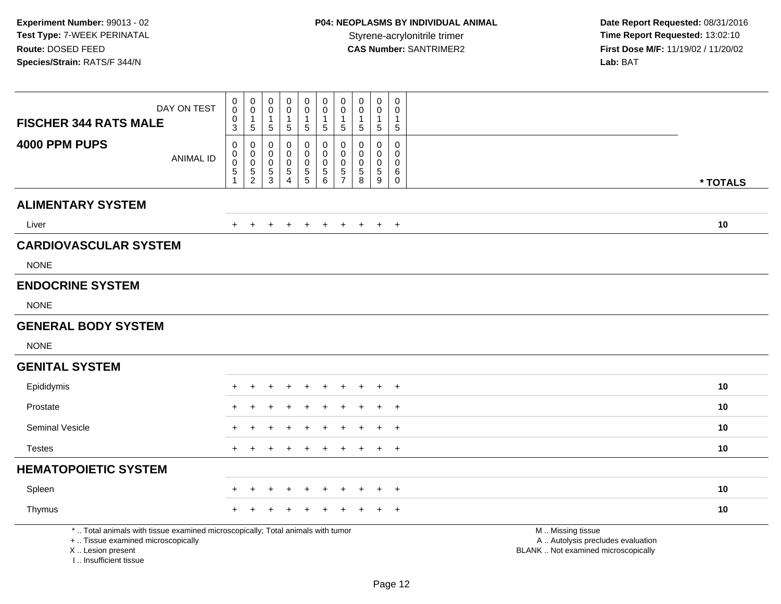**Date Report Requested:** 08/31/2016 **First Dose M/F:** 11/19/02 / 11/20/02<br>Lab: BAT **Lab:** BAT

| <b>FISCHER 344 RATS MALE</b>                                                                                                                                        | DAY ON TEST      | $\boldsymbol{0}$<br>$\ddot{\mathbf{0}}$<br>$\mathbf 0$<br>$\overline{3}$ | $\begin{smallmatrix}0\0\0\end{smallmatrix}$<br>$\mathbf{1}$<br>$\sqrt{5}$ | $\pmb{0}$<br>$\pmb{0}$<br>$\mathbf{1}$<br>$\overline{5}$ | 0<br>$\mathbf 0$<br>1<br>$\sqrt{5}$       | $\pmb{0}$<br>$\pmb{0}$<br>$\mathbf{1}$<br>$5\phantom{.0}$ | $_0^0$<br>1<br>5                                                       | $\begin{smallmatrix}0\0\0\end{smallmatrix}$<br>1<br>$\overline{5}$ | $\mathbf 0$<br>$\ddot{\mathbf{0}}$<br>$\overline{1}$<br>$\sqrt{5}$               | $\boldsymbol{0}$<br>0<br>$\overline{1}$<br>$\sqrt{5}$    | 0<br>$\mathbf 0$<br>$\mathbf{1}$<br>$\sqrt{5}$           |                                                                                               |
|---------------------------------------------------------------------------------------------------------------------------------------------------------------------|------------------|--------------------------------------------------------------------------|---------------------------------------------------------------------------|----------------------------------------------------------|-------------------------------------------|-----------------------------------------------------------|------------------------------------------------------------------------|--------------------------------------------------------------------|----------------------------------------------------------------------------------|----------------------------------------------------------|----------------------------------------------------------|-----------------------------------------------------------------------------------------------|
| 4000 PPM PUPS                                                                                                                                                       | <b>ANIMAL ID</b> | $\mathbf 0$<br>0<br>$\ddot{\mathbf{0}}$<br>$\sqrt{5}$<br>1               | 0<br>0<br>$\pmb{0}$<br>$\frac{5}{2}$                                      | $\pmb{0}$<br>$\mathbf 0$<br>$\mathbf 0$<br>$\frac{5}{3}$ | 0<br>$\mathbf 0$<br>0<br>$\,$ 5 $\,$<br>4 | 0<br>$\mathbf 0$<br>$\pmb{0}$<br>$\frac{5}{5}$            | $\mathsf 0$<br>0<br>$\pmb{0}$<br>$\begin{array}{c} 5 \\ 6 \end{array}$ | 0<br>$\mathbf 0$<br>$\mathbf 0$<br>$\frac{5}{7}$                   | $\pmb{0}$<br>$\mathbf 0$<br>$\mathbf 0$<br>$\begin{array}{c} 5 \\ 8 \end{array}$ | $\mathsf{O}\xspace$<br>$\mathbf 0$<br>0<br>$\frac{5}{9}$ | $\pmb{0}$<br>$\Omega$<br>$\mathbf 0$<br>6<br>$\mathbf 0$ | * TOTALS                                                                                      |
| <b>ALIMENTARY SYSTEM</b>                                                                                                                                            |                  |                                                                          |                                                                           |                                                          |                                           |                                                           |                                                                        |                                                                    |                                                                                  |                                                          |                                                          |                                                                                               |
| Liver                                                                                                                                                               |                  | $\ddot{}$                                                                | $\overline{+}$                                                            |                                                          |                                           |                                                           | $\overline{+}$                                                         | $\ddot{}$                                                          | $+$                                                                              |                                                          | $+$ $+$                                                  | 10                                                                                            |
| <b>CARDIOVASCULAR SYSTEM</b>                                                                                                                                        |                  |                                                                          |                                                                           |                                                          |                                           |                                                           |                                                                        |                                                                    |                                                                                  |                                                          |                                                          |                                                                                               |
| <b>NONE</b>                                                                                                                                                         |                  |                                                                          |                                                                           |                                                          |                                           |                                                           |                                                                        |                                                                    |                                                                                  |                                                          |                                                          |                                                                                               |
| <b>ENDOCRINE SYSTEM</b>                                                                                                                                             |                  |                                                                          |                                                                           |                                                          |                                           |                                                           |                                                                        |                                                                    |                                                                                  |                                                          |                                                          |                                                                                               |
| <b>NONE</b>                                                                                                                                                         |                  |                                                                          |                                                                           |                                                          |                                           |                                                           |                                                                        |                                                                    |                                                                                  |                                                          |                                                          |                                                                                               |
| <b>GENERAL BODY SYSTEM</b>                                                                                                                                          |                  |                                                                          |                                                                           |                                                          |                                           |                                                           |                                                                        |                                                                    |                                                                                  |                                                          |                                                          |                                                                                               |
| <b>NONE</b>                                                                                                                                                         |                  |                                                                          |                                                                           |                                                          |                                           |                                                           |                                                                        |                                                                    |                                                                                  |                                                          |                                                          |                                                                                               |
| <b>GENITAL SYSTEM</b>                                                                                                                                               |                  |                                                                          |                                                                           |                                                          |                                           |                                                           |                                                                        |                                                                    |                                                                                  |                                                          |                                                          |                                                                                               |
| Epididymis                                                                                                                                                          |                  | $\ddot{}$                                                                | $+$                                                                       | $\ddot{}$                                                | $\pm$                                     | $\ddot{}$                                                 | $+$                                                                    | $+$                                                                | $+$                                                                              | $+$                                                      | $+$                                                      | 10                                                                                            |
| Prostate                                                                                                                                                            |                  |                                                                          |                                                                           |                                                          |                                           |                                                           |                                                                        |                                                                    |                                                                                  |                                                          | $\ddot{}$                                                | 10                                                                                            |
| Seminal Vesicle                                                                                                                                                     |                  |                                                                          |                                                                           |                                                          |                                           |                                                           |                                                                        |                                                                    |                                                                                  |                                                          | $\ddot{}$                                                | 10                                                                                            |
| <b>Testes</b>                                                                                                                                                       |                  | $+$                                                                      | $\div$                                                                    |                                                          |                                           |                                                           |                                                                        |                                                                    |                                                                                  | $+$                                                      | $+$                                                      | 10                                                                                            |
| <b>HEMATOPOIETIC SYSTEM</b>                                                                                                                                         |                  |                                                                          |                                                                           |                                                          |                                           |                                                           |                                                                        |                                                                    |                                                                                  |                                                          |                                                          |                                                                                               |
| Spleen                                                                                                                                                              |                  |                                                                          |                                                                           |                                                          |                                           |                                                           | $\overline{ }$                                                         | $\pm$                                                              | $\div$                                                                           | $\pm$                                                    | $+$                                                      | 10                                                                                            |
| Thymus                                                                                                                                                              |                  |                                                                          |                                                                           |                                                          |                                           |                                                           |                                                                        |                                                                    |                                                                                  |                                                          | $\ddot{}$                                                | 10                                                                                            |
| *  Total animals with tissue examined microscopically; Total animals with tumor<br>+  Tissue examined microscopically<br>X  Lesion present<br>I Insufficient tissue |                  |                                                                          |                                                                           |                                                          |                                           |                                                           |                                                                        |                                                                    |                                                                                  |                                                          |                                                          | M  Missing tissue<br>A  Autolysis precludes evaluation<br>BLANK  Not examined microscopically |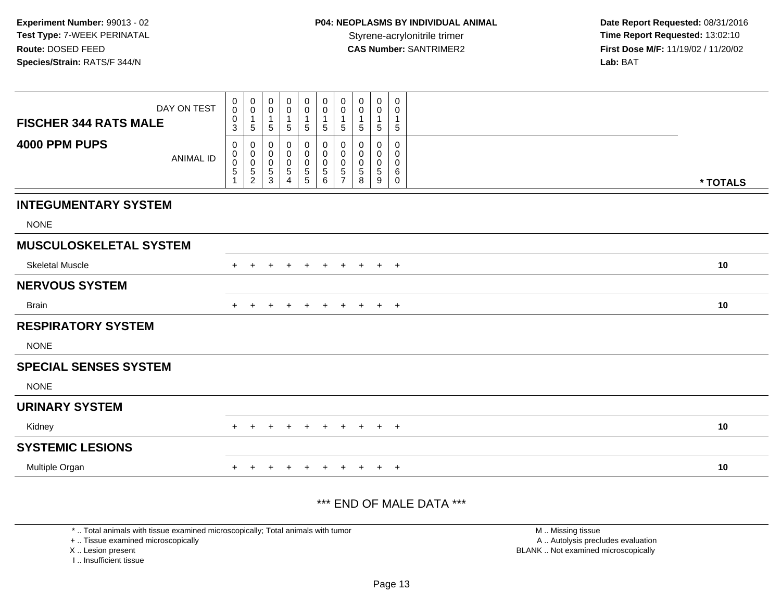| DAY ON TEST<br><b>FISCHER 344 RATS MALE</b> | $\mathbf 0$<br>$\pmb{0}$<br>0<br>$\ensuremath{\mathsf{3}}$ | $\pmb{0}$<br>$\mathbf 0$<br>$\mathbf{1}$<br>$\sqrt{5}$ | 0<br>0<br>1<br>5                | 0<br>0<br>$\mathbf 1$<br>5 | $\pmb{0}$<br>$\pmb{0}$<br>1<br>$\sqrt{5}$    | $\mathbf 0$<br>$\mathbf 0$<br>$\mathbf{1}$<br>$\sqrt{5}$               | $\boldsymbol{0}$<br>$\boldsymbol{0}$<br>$\mathbf{1}$<br>$\sqrt{5}$ | $\pmb{0}$<br>0<br>$\mathbf{1}$<br>5 | $\mathbf 0$<br>0<br>$\mathbf{1}$<br>5     | 0<br>0<br>$\sqrt{5}$  |          |
|---------------------------------------------|------------------------------------------------------------|--------------------------------------------------------|---------------------------------|----------------------------|----------------------------------------------|------------------------------------------------------------------------|--------------------------------------------------------------------|-------------------------------------|-------------------------------------------|-----------------------|----------|
| 4000 PPM PUPS<br><b>ANIMAL ID</b>           | 0<br>0<br>$\mathsf 0$<br>$\mathbf 5$                       | 0<br>$\pmb{0}$<br>$\frac{0}{5}$<br>$\overline{2}$      | 0<br>0<br>0<br>$\,$ 5 $\,$<br>3 | 0<br>0<br>0<br>5<br>4      | 0<br>$\pmb{0}$<br>$\pmb{0}$<br>$\frac{5}{5}$ | 0<br>$\pmb{0}$<br>$\mathbf 0$<br>$\begin{array}{c} 5 \\ 6 \end{array}$ | $\mathbf 0$<br>$\boldsymbol{0}$<br>$\mathbf 0$<br>$\frac{5}{7}$    | 0<br>0<br>$\mathbf 0$<br>5<br>8     | 0<br>$\mathbf 0$<br>$\mathbf 0$<br>5<br>9 | 0<br>0<br>0<br>6<br>0 | * TOTALS |
| <b>INTEGUMENTARY SYSTEM</b>                 |                                                            |                                                        |                                 |                            |                                              |                                                                        |                                                                    |                                     |                                           |                       |          |
| <b>NONE</b>                                 |                                                            |                                                        |                                 |                            |                                              |                                                                        |                                                                    |                                     |                                           |                       |          |
| <b>MUSCULOSKELETAL SYSTEM</b>               |                                                            |                                                        |                                 |                            |                                              |                                                                        |                                                                    |                                     |                                           |                       |          |
| <b>Skeletal Muscle</b>                      | $+$                                                        |                                                        |                                 |                            |                                              | $\ddot{}$                                                              | $\pm$                                                              | $\pm$                               | $+$                                       | $+$                   | 10       |
| <b>NERVOUS SYSTEM</b>                       |                                                            |                                                        |                                 |                            |                                              |                                                                        |                                                                    |                                     |                                           |                       |          |
| <b>Brain</b>                                | +                                                          |                                                        |                                 |                            | $\pm$                                        | $\pm$                                                                  | $\pm$                                                              | $\pm$                               | $+$                                       | $+$                   | 10       |
| <b>RESPIRATORY SYSTEM</b>                   |                                                            |                                                        |                                 |                            |                                              |                                                                        |                                                                    |                                     |                                           |                       |          |
| <b>NONE</b>                                 |                                                            |                                                        |                                 |                            |                                              |                                                                        |                                                                    |                                     |                                           |                       |          |
| <b>SPECIAL SENSES SYSTEM</b>                |                                                            |                                                        |                                 |                            |                                              |                                                                        |                                                                    |                                     |                                           |                       |          |
| <b>NONE</b>                                 |                                                            |                                                        |                                 |                            |                                              |                                                                        |                                                                    |                                     |                                           |                       |          |
| <b>URINARY SYSTEM</b>                       |                                                            |                                                        |                                 |                            |                                              |                                                                        |                                                                    |                                     |                                           |                       |          |
| Kidney                                      |                                                            |                                                        |                                 |                            |                                              |                                                                        |                                                                    |                                     | ÷                                         | $\overline{+}$        | 10       |
| <b>SYSTEMIC LESIONS</b>                     |                                                            |                                                        |                                 |                            |                                              |                                                                        |                                                                    |                                     |                                           |                       |          |
| Multiple Organ                              | +                                                          |                                                        | ÷                               |                            | $\div$                                       | $\pm$                                                                  | $\pm$                                                              | $\ddot{}$                           | $+$                                       | $+$                   | 10       |

# \*\*\* END OF MALE DATA \*\*\*

\* .. Total animals with tissue examined microscopically; Total animals with tumor

+ .. Tissue examined microscopically

X .. Lesion present

I .. Insufficient tissue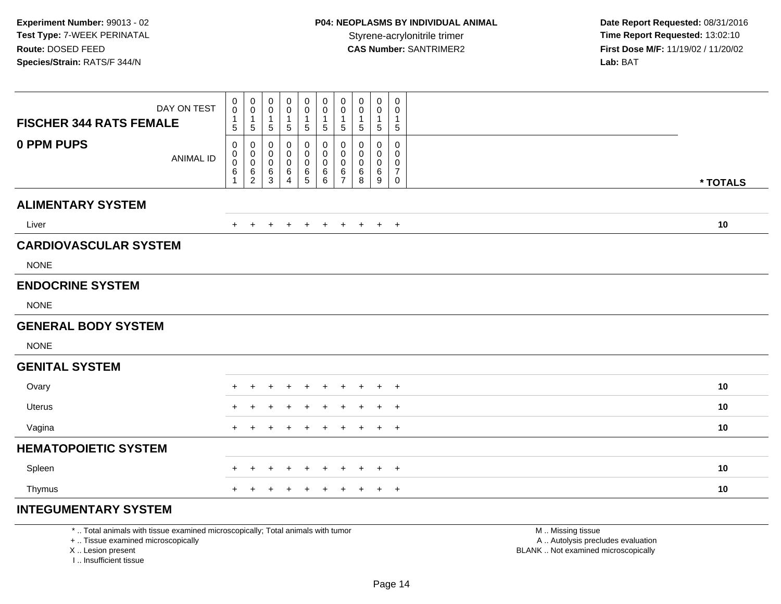| <b>FISCHER 344 RATS FEMALE</b> | DAY ON TEST      | 0<br>$\mathbf 0$<br>$\mathbf{1}$<br>5 | $\pmb{0}$<br>$\mathbf 0$<br>$\mathbf{1}$<br>5    | 0<br>$\pmb{0}$<br>$\mathbf 1$<br>$\sqrt{5}$   | $\mathbf 0$<br>0<br>$\mathbf{1}$<br>$\sqrt{5}$ | $\pmb{0}$<br>$\pmb{0}$<br>$\mathbf{1}$<br>$\sqrt{5}$ | 0<br>$\mathbf 0$<br>$\mathbf{1}$<br>5 | $\pmb{0}$<br>$\mathbf 0$<br>$\mathbf{1}$<br>$\overline{5}$ | 0<br>0<br>$\mathbf{1}$<br>$5\phantom{.0}$ | $\pmb{0}$<br>0<br>$\mathbf{1}$<br>$\sqrt{5}$ | $\mathbf 0$<br>0<br>$\mathbf{1}$<br>$\sqrt{5}$       |          |  |
|--------------------------------|------------------|---------------------------------------|--------------------------------------------------|-----------------------------------------------|------------------------------------------------|------------------------------------------------------|---------------------------------------|------------------------------------------------------------|-------------------------------------------|----------------------------------------------|------------------------------------------------------|----------|--|
| 0 PPM PUPS                     | <b>ANIMAL ID</b> | 0<br>0<br>$\mathbf 0$<br>6            | 0<br>$\mathbf 0$<br>$\mathbf 0$<br>$\frac{6}{2}$ | $\mathbf 0$<br>0<br>$\mathsf 0$<br>$\,6$<br>3 | 0<br>$\mathbf 0$<br>$\pmb{0}$<br>6<br>4        | 0<br>$\mathbf 0$<br>$\mathbf 0$<br>$\,6$<br>5        | 0<br>0<br>0<br>6<br>6                 | 0<br>$\mathbf 0$<br>$\pmb{0}$<br>6<br>$\overline{7}$       | 0<br>0<br>$\mathbf 0$<br>6<br>8           | 0<br>0<br>0<br>6<br>9                        | 0<br>0<br>$\pmb{0}$<br>$\overline{7}$<br>$\mathbf 0$ | * TOTALS |  |
| <b>ALIMENTARY SYSTEM</b>       |                  |                                       |                                                  |                                               |                                                |                                                      |                                       |                                                            |                                           |                                              |                                                      |          |  |
| Liver                          |                  | $+$                                   | $+$                                              | $\ddot{}$                                     | $\ddot{}$                                      | $+$                                                  | $+$                                   | $+$                                                        | $+$                                       |                                              | $+$ $+$                                              | 10       |  |
| <b>CARDIOVASCULAR SYSTEM</b>   |                  |                                       |                                                  |                                               |                                                |                                                      |                                       |                                                            |                                           |                                              |                                                      |          |  |
| <b>NONE</b>                    |                  |                                       |                                                  |                                               |                                                |                                                      |                                       |                                                            |                                           |                                              |                                                      |          |  |
| <b>ENDOCRINE SYSTEM</b>        |                  |                                       |                                                  |                                               |                                                |                                                      |                                       |                                                            |                                           |                                              |                                                      |          |  |
| <b>NONE</b>                    |                  |                                       |                                                  |                                               |                                                |                                                      |                                       |                                                            |                                           |                                              |                                                      |          |  |
| <b>GENERAL BODY SYSTEM</b>     |                  |                                       |                                                  |                                               |                                                |                                                      |                                       |                                                            |                                           |                                              |                                                      |          |  |
| <b>NONE</b>                    |                  |                                       |                                                  |                                               |                                                |                                                      |                                       |                                                            |                                           |                                              |                                                      |          |  |
| <b>GENITAL SYSTEM</b>          |                  |                                       |                                                  |                                               |                                                |                                                      |                                       |                                                            |                                           |                                              |                                                      |          |  |
| Ovary                          |                  | $\ddot{}$                             | $\pm$                                            | ٠                                             |                                                | $\div$                                               | $\ddot{}$                             | $\ddot{}$                                                  | $\pm$                                     | $+$                                          | $^{+}$                                               | 10       |  |
| <b>Uterus</b>                  |                  |                                       |                                                  |                                               |                                                |                                                      |                                       |                                                            | $\div$                                    | $\pm$                                        | $+$                                                  | 10       |  |
| Vagina                         |                  | $+$                                   | $\pm$                                            |                                               |                                                |                                                      | $\ddot{}$                             | $\div$                                                     | $\pm$                                     | $+$                                          | $+$                                                  | 10       |  |
| <b>HEMATOPOIETIC SYSTEM</b>    |                  |                                       |                                                  |                                               |                                                |                                                      |                                       |                                                            |                                           |                                              |                                                      |          |  |
| Spleen                         |                  | $\pm$                                 | $\ddot{}$                                        | $\overline{+}$                                | $\ddot{}$                                      | $\ddot{}$                                            | $\ddot{}$                             | $\ddot{}$                                                  | $\ddot{}$                                 | $+$                                          | $^{+}$                                               | 10       |  |
| Thymus                         |                  | $+$                                   | $+$                                              | $\ddot{}$                                     | $\pm$                                          | $\overline{+}$                                       | $+$                                   | $+$                                                        | $+$                                       |                                              | $+$ $+$                                              | 10       |  |
| <b>INTEGUMENTARY SYSTEM</b>    |                  |                                       |                                                  |                                               |                                                |                                                      |                                       |                                                            |                                           |                                              |                                                      |          |  |

+ .. Tissue examined microscopically

X .. Lesion present

I .. Insufficient tissue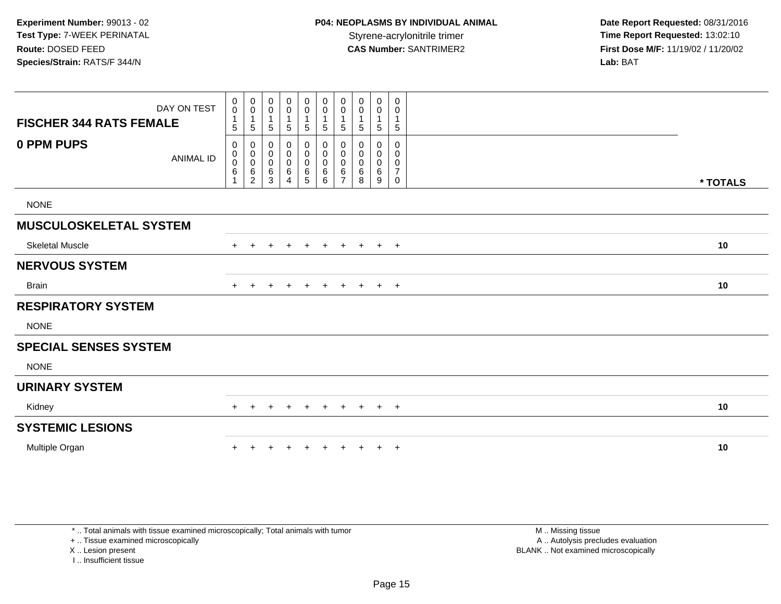|                                | DAY ON TEST      | $\mathbf 0$<br>0<br>$\mathbf{1}$      | $\mathbf 0$<br>$\mathsf 0$                 | 0<br>$\pmb{0}$                | $\mathbf 0$<br>$\mathbf 0$      | $\mathbf 0$<br>$\mathsf{O}\xspace$<br>$\mathbf 1$ | $\mathbf 0$<br>$\pmb{0}$                                    | 0<br>0                             | 0<br>0                | 0<br>0                | 0<br>0<br>1                                  |          |
|--------------------------------|------------------|---------------------------------------|--------------------------------------------|-------------------------------|---------------------------------|---------------------------------------------------|-------------------------------------------------------------|------------------------------------|-----------------------|-----------------------|----------------------------------------------|----------|
| <b>FISCHER 344 RATS FEMALE</b> |                  | 5                                     | 5                                          | 5                             | 5                               | 5                                                 | $\sqrt{5}$                                                  | 5                                  | 5                     | 5                     | $\,$ 5 $\,$                                  |          |
| 0 PPM PUPS                     | <b>ANIMAL ID</b> | $\mathbf 0$<br>0<br>0<br>$\,6\,$<br>1 | 0<br>0<br>$\pmb{0}$<br>6<br>$\overline{c}$ | 0<br>0<br>$\pmb{0}$<br>6<br>3 | 0<br>0<br>$\mathsf 0$<br>6<br>4 | 0<br>$\mathbf 0$<br>0<br>$^6$ 5                   | $\mathbf 0$<br>$\pmb{0}$<br>$\pmb{0}$<br>$\,6\,$<br>$\,6\,$ | 0<br>0<br>0<br>6<br>$\overline{ }$ | 0<br>0<br>0<br>6<br>8 | 0<br>0<br>0<br>6<br>9 | 0<br>0<br>0<br>$\overline{7}$<br>$\mathbf 0$ | * TOTALS |
| <b>NONE</b>                    |                  |                                       |                                            |                               |                                 |                                                   |                                                             |                                    |                       |                       |                                              |          |
| <b>MUSCULOSKELETAL SYSTEM</b>  |                  |                                       |                                            |                               |                                 |                                                   |                                                             |                                    |                       |                       |                                              |          |
| <b>Skeletal Muscle</b>         |                  | $+$                                   | $\ddot{}$                                  |                               | $\ddot{}$                       | $+$                                               | $\overline{+}$                                              | $+$                                | $+$                   | $+$                   | $+$                                          | 10       |
| <b>NERVOUS SYSTEM</b>          |                  |                                       |                                            |                               |                                 |                                                   |                                                             |                                    |                       |                       |                                              |          |
| <b>Brain</b>                   |                  | $+$                                   | $\ddot{}$                                  |                               | $\overline{+}$                  | $\ddot{}$                                         | $\overline{+}$                                              | $+$                                | $+$                   | $+$                   | $+$                                          | 10       |
| <b>RESPIRATORY SYSTEM</b>      |                  |                                       |                                            |                               |                                 |                                                   |                                                             |                                    |                       |                       |                                              |          |
| <b>NONE</b>                    |                  |                                       |                                            |                               |                                 |                                                   |                                                             |                                    |                       |                       |                                              |          |
| <b>SPECIAL SENSES SYSTEM</b>   |                  |                                       |                                            |                               |                                 |                                                   |                                                             |                                    |                       |                       |                                              |          |
| <b>NONE</b>                    |                  |                                       |                                            |                               |                                 |                                                   |                                                             |                                    |                       |                       |                                              |          |
| <b>URINARY SYSTEM</b>          |                  |                                       |                                            |                               |                                 |                                                   |                                                             |                                    |                       |                       |                                              |          |
| Kidney                         |                  | $+$                                   |                                            |                               | $\pm$                           | $\pm$                                             | $\pm$                                                       | $\pm$                              |                       | $\overline{+}$        | $+$                                          | 10       |
| <b>SYSTEMIC LESIONS</b>        |                  |                                       |                                            |                               |                                 |                                                   |                                                             |                                    |                       |                       |                                              |          |
| Multiple Organ                 |                  |                                       |                                            |                               |                                 |                                                   |                                                             |                                    |                       | $\ddot{}$             | $+$                                          | 10       |

\* .. Total animals with tissue examined microscopically; Total animals with tumor

+ .. Tissue examined microscopically

X .. Lesion present

I .. Insufficient tissue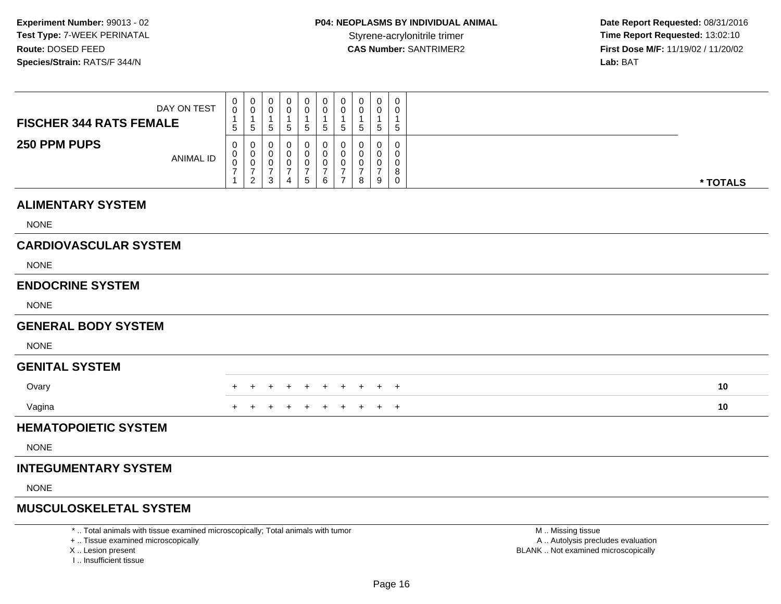I .. Insufficient tissue

 **Date Report Requested:** 08/31/2016 **First Dose M/F:** 11/19/02 / 11/20/02<br>Lab: BAT **Lab:** BAT

| DAY ON TEST<br><b>FISCHER 344 RATS FEMALE</b>                                                                                             | 0<br>$\mathbf 0$<br>1<br>$\sqrt{5}$                     | 0<br>$\mathbf 0$<br>$\mathbf{1}$<br>$\sqrt{5}$  | $\mathbf 0$<br>$\Omega$<br>$\mathbf{1}$<br>$5\phantom{.0}$        | 0<br>0<br>1<br>5                                       | 0<br>0<br>$\mathbf 1$<br>$5\phantom{.0}$                       | 0<br>0<br>1<br>5                             | $\mathbf 0$<br>0<br>$\mathbf{1}$<br>$5\phantom{.0}$       | $\mathbf 0$<br>$\Omega$<br>$\overline{1}$<br>$\sqrt{5}$ | $\mathbf 0$<br>0<br>$\overline{1}$<br>$\sqrt{5}$                  | $\mathbf 0$<br>$\Omega$<br>$\mathbf{1}$<br>$\sqrt{5}$ |                                                                                               |          |
|-------------------------------------------------------------------------------------------------------------------------------------------|---------------------------------------------------------|-------------------------------------------------|-------------------------------------------------------------------|--------------------------------------------------------|----------------------------------------------------------------|----------------------------------------------|-----------------------------------------------------------|---------------------------------------------------------|-------------------------------------------------------------------|-------------------------------------------------------|-----------------------------------------------------------------------------------------------|----------|
| 250 PPM PUPS<br><b>ANIMAL ID</b>                                                                                                          | $\mathbf 0$<br>0<br>$\mathbf 0$<br>$\overline{7}$<br>-1 | 0<br>0<br>0<br>$\overline{7}$<br>$\overline{2}$ | 0<br>$\mathbf 0$<br>$\mathbf 0$<br>$\overline{7}$<br>$\mathbf{3}$ | 0<br>$\Omega$<br>0<br>$\overline{7}$<br>$\overline{4}$ | 0<br>$\mathbf 0$<br>0<br>$\begin{array}{c} 7 \\ 5 \end{array}$ | 0<br>$\mathbf 0$<br>0<br>$\overline{7}$<br>6 | 0<br>0<br>$\pmb{0}$<br>$\boldsymbol{7}$<br>$\overline{7}$ | 0<br>$\Omega$<br>$\mathbf 0$<br>$\overline{7}$<br>8     | $\mathbf 0$<br>$\mathbf{0}$<br>$\mathbf 0$<br>$\overline{7}$<br>9 | $\mathbf 0$<br>$\Omega$<br>0<br>8<br>$\mathbf 0$      |                                                                                               | * TOTALS |
| <b>ALIMENTARY SYSTEM</b>                                                                                                                  |                                                         |                                                 |                                                                   |                                                        |                                                                |                                              |                                                           |                                                         |                                                                   |                                                       |                                                                                               |          |
| <b>NONE</b>                                                                                                                               |                                                         |                                                 |                                                                   |                                                        |                                                                |                                              |                                                           |                                                         |                                                                   |                                                       |                                                                                               |          |
| <b>CARDIOVASCULAR SYSTEM</b>                                                                                                              |                                                         |                                                 |                                                                   |                                                        |                                                                |                                              |                                                           |                                                         |                                                                   |                                                       |                                                                                               |          |
| <b>NONE</b>                                                                                                                               |                                                         |                                                 |                                                                   |                                                        |                                                                |                                              |                                                           |                                                         |                                                                   |                                                       |                                                                                               |          |
| <b>ENDOCRINE SYSTEM</b>                                                                                                                   |                                                         |                                                 |                                                                   |                                                        |                                                                |                                              |                                                           |                                                         |                                                                   |                                                       |                                                                                               |          |
| <b>NONE</b>                                                                                                                               |                                                         |                                                 |                                                                   |                                                        |                                                                |                                              |                                                           |                                                         |                                                                   |                                                       |                                                                                               |          |
| <b>GENERAL BODY SYSTEM</b>                                                                                                                |                                                         |                                                 |                                                                   |                                                        |                                                                |                                              |                                                           |                                                         |                                                                   |                                                       |                                                                                               |          |
| <b>NONE</b>                                                                                                                               |                                                         |                                                 |                                                                   |                                                        |                                                                |                                              |                                                           |                                                         |                                                                   |                                                       |                                                                                               |          |
| <b>GENITAL SYSTEM</b>                                                                                                                     |                                                         |                                                 |                                                                   |                                                        |                                                                |                                              |                                                           |                                                         |                                                                   |                                                       |                                                                                               |          |
| Ovary                                                                                                                                     |                                                         |                                                 |                                                                   |                                                        |                                                                | $\ddot{}$                                    | $\ddot{}$                                                 | $\overline{+}$                                          | $+$                                                               | $+$                                                   |                                                                                               | 10       |
| Vagina                                                                                                                                    |                                                         |                                                 |                                                                   |                                                        |                                                                |                                              |                                                           |                                                         |                                                                   | $+$                                                   |                                                                                               | 10       |
| <b>HEMATOPOIETIC SYSTEM</b>                                                                                                               |                                                         |                                                 |                                                                   |                                                        |                                                                |                                              |                                                           |                                                         |                                                                   |                                                       |                                                                                               |          |
| <b>NONE</b>                                                                                                                               |                                                         |                                                 |                                                                   |                                                        |                                                                |                                              |                                                           |                                                         |                                                                   |                                                       |                                                                                               |          |
| <b>INTEGUMENTARY SYSTEM</b>                                                                                                               |                                                         |                                                 |                                                                   |                                                        |                                                                |                                              |                                                           |                                                         |                                                                   |                                                       |                                                                                               |          |
| <b>NONE</b>                                                                                                                               |                                                         |                                                 |                                                                   |                                                        |                                                                |                                              |                                                           |                                                         |                                                                   |                                                       |                                                                                               |          |
| <b>MUSCULOSKELETAL SYSTEM</b>                                                                                                             |                                                         |                                                 |                                                                   |                                                        |                                                                |                                              |                                                           |                                                         |                                                                   |                                                       |                                                                                               |          |
| *  Total animals with tissue examined microscopically; Total animals with tumor<br>+  Tissue examined microscopically<br>X Lesion present |                                                         |                                                 |                                                                   |                                                        |                                                                |                                              |                                                           |                                                         |                                                                   |                                                       | M  Missing tissue<br>A  Autolysis precludes evaluation<br>BLANK  Not examined microscopically |          |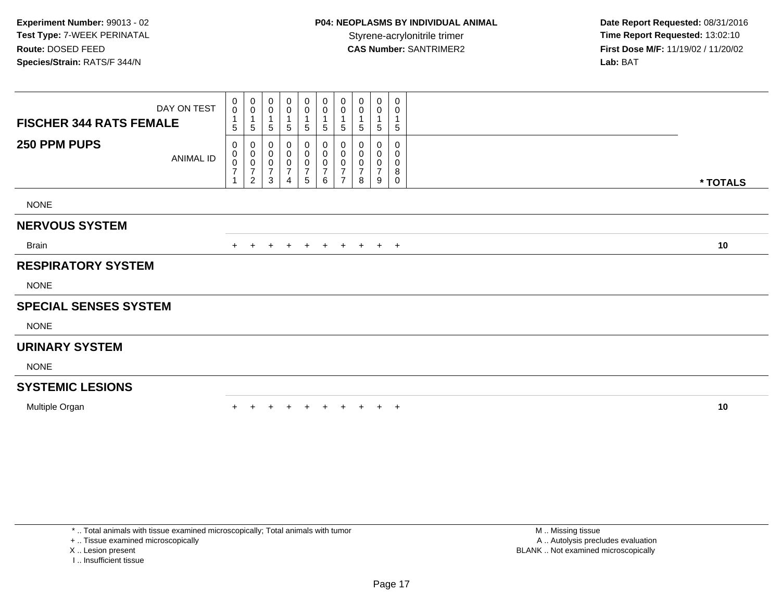| <b>FISCHER 344 RATS FEMALE</b> | DAY ON TEST | $\mathbf 0$<br>$\mathsf{O}\xspace$<br>$\overline{1}$<br>5 | $\begin{smallmatrix}0\\0\end{smallmatrix}$<br>$\mathbf 1$<br>$\,$ 5 $\,$ | 0<br>0<br>5                                  | $\mathbf 0$<br>$\pmb{0}$<br>$\mathbf 1$<br>$\sqrt{5}$ | 0<br>0<br>1<br>5                                   | $\begin{smallmatrix}0\\0\end{smallmatrix}$<br>$\overline{1}$<br>5 | 0<br>$\mathbf 0$<br>5         | 0<br>0<br>5 | 0<br>0<br>$\overline{1}$<br>5      | 0<br>0<br>1<br>$\sqrt{5}$ |          |
|--------------------------------|-------------|-----------------------------------------------------------|--------------------------------------------------------------------------|----------------------------------------------|-------------------------------------------------------|----------------------------------------------------|-------------------------------------------------------------------|-------------------------------|-------------|------------------------------------|---------------------------|----------|
| 250 PPM PUPS                   | ANIMAL ID   | 0<br>0<br>$\frac{0}{7}$                                   | $\pmb{0}$<br>$\pmb{0}$<br>$\frac{0}{7}$<br>$\overline{2}$                | 0<br>0<br>0<br>$\overline{\mathcal{I}}$<br>3 | 0<br>$\pmb{0}$<br>$\frac{0}{7}$<br>$\overline{4}$     | 0<br>$\pmb{0}$<br>$\pmb{0}$<br>$\overline{7}$<br>5 | $\pmb{0}$<br>$\pmb{0}$<br>$\pmb{0}$<br>$\overline{7}$<br>6        | 0<br>0<br>0<br>$\overline{ }$ | 0<br>7<br>8 | 0<br>0<br>0<br>$\overline{ }$<br>9 | 0<br>0<br>0<br>8<br>0     | * TOTALS |
| <b>NONE</b>                    |             |                                                           |                                                                          |                                              |                                                       |                                                    |                                                                   |                               |             |                                    |                           |          |
| <b>NERVOUS SYSTEM</b>          |             |                                                           |                                                                          |                                              |                                                       |                                                    |                                                                   |                               |             |                                    |                           |          |
| Brain                          |             | $+$                                                       | $\pm$                                                                    | $\ddot{}$                                    | $+$                                                   | $+$                                                | $+$                                                               | $+$                           | $+$         | $+$ $+$                            |                           | 10       |
| <b>RESPIRATORY SYSTEM</b>      |             |                                                           |                                                                          |                                              |                                                       |                                                    |                                                                   |                               |             |                                    |                           |          |
| <b>NONE</b>                    |             |                                                           |                                                                          |                                              |                                                       |                                                    |                                                                   |                               |             |                                    |                           |          |
| <b>SPECIAL SENSES SYSTEM</b>   |             |                                                           |                                                                          |                                              |                                                       |                                                    |                                                                   |                               |             |                                    |                           |          |
| <b>NONE</b>                    |             |                                                           |                                                                          |                                              |                                                       |                                                    |                                                                   |                               |             |                                    |                           |          |
| <b>URINARY SYSTEM</b>          |             |                                                           |                                                                          |                                              |                                                       |                                                    |                                                                   |                               |             |                                    |                           |          |
| <b>NONE</b>                    |             |                                                           |                                                                          |                                              |                                                       |                                                    |                                                                   |                               |             |                                    |                           |          |
| <b>SYSTEMIC LESIONS</b>        |             |                                                           |                                                                          |                                              |                                                       |                                                    |                                                                   |                               |             |                                    |                           |          |
| Multiple Organ                 |             |                                                           |                                                                          |                                              |                                                       | $\div$                                             | $+$                                                               | $\pm$                         |             | $+$                                | $+$                       | 10       |

+ .. Tissue examined microscopically

X .. Lesion present

I .. Insufficient tissue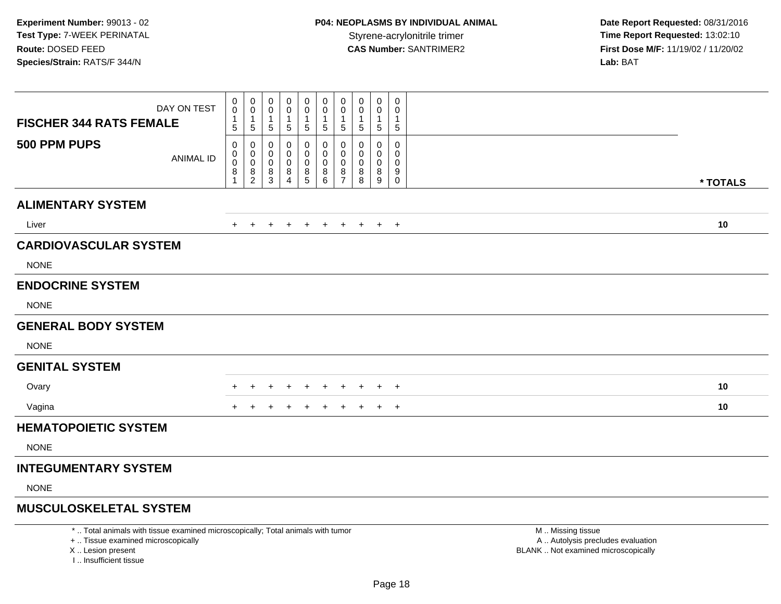**Date Report Requested:** 08/31/2016 **First Dose M/F:** 11/19/02 / 11/20/02<br>Lab: BAT **Lab:** BAT

| DAY ON TEST<br><b>FISCHER 344 RATS FEMALE</b>                                                                         | 0<br>$\ddot{\mathbf{0}}$<br>$\mathbf{1}$<br>$\,$ 5 $\,$                     | $\boldsymbol{0}$<br>$\mathbf 0$<br>$\overline{1}$<br>$\sqrt{5}$              | 0<br>0<br>$\mathbf{1}$<br>$\,$ 5 $\,$     | 0<br>$\mathbf 0$<br>$\mathbf{1}$<br>$\sqrt{5}$ | 0<br>0<br>$\mathbf 1$<br>$\sqrt{5}$                 | 0<br>$\tilde{0}$<br>1<br>5          | 0<br>$\mathbf 0$<br>-1<br>$\sqrt{5}$             | $\mathbf 0$<br>$\mathbf 0$<br>$\mathbf{1}$<br>$\sqrt{5}$ | $\mathbf 0$<br>0<br>$\mathbf{1}$<br>$\sqrt{5}$ | 0<br>0<br>$\mathbf{1}$<br>$\,$ 5 $\,$                                        |                                                        |          |
|-----------------------------------------------------------------------------------------------------------------------|-----------------------------------------------------------------------------|------------------------------------------------------------------------------|-------------------------------------------|------------------------------------------------|-----------------------------------------------------|-------------------------------------|--------------------------------------------------|----------------------------------------------------------|------------------------------------------------|------------------------------------------------------------------------------|--------------------------------------------------------|----------|
| 500 PPM PUPS<br><b>ANIMAL ID</b>                                                                                      | $\mathbf 0$<br>$\mathbf 0$<br>$\mathbf 0$<br>$\overline{8}$<br>$\mathbf{1}$ | $\mathbf 0$<br>$\begin{smallmatrix} 0\\0 \end{smallmatrix}$<br>$\frac{8}{2}$ | $\mathbf 0$<br>0<br>$\mathbf 0$<br>$^8_3$ | 0<br>0<br>$\mathbf 0$<br>8<br>$\overline{4}$   | $\mathbf 0$<br>$\mathbf 0$<br>$\mathbf 0$<br>$^8$ 5 | 0<br>0<br>$\mathbf 0$<br>$_{6}^{8}$ | 0<br>$\mathbf 0$<br>$\mathbf 0$<br>$\frac{8}{7}$ | $\mathbf 0$<br>0<br>$\mathbf 0$<br>$_{8}^8$              | $\Omega$<br>$\mathbf 0$<br>0<br>8<br>9         | $\mathbf 0$<br>$\mathbf 0$<br>$\mathbf 0$<br>$\boldsymbol{9}$<br>$\mathbf 0$ |                                                        | * TOTALS |
| <b>ALIMENTARY SYSTEM</b>                                                                                              |                                                                             |                                                                              |                                           |                                                |                                                     |                                     |                                                  |                                                          |                                                |                                                                              |                                                        |          |
| Liver                                                                                                                 | $+$                                                                         | $+$                                                                          | $+$                                       | $+$                                            |                                                     | + + + + + +                         |                                                  |                                                          |                                                |                                                                              |                                                        | 10       |
| <b>CARDIOVASCULAR SYSTEM</b>                                                                                          |                                                                             |                                                                              |                                           |                                                |                                                     |                                     |                                                  |                                                          |                                                |                                                                              |                                                        |          |
| <b>NONE</b>                                                                                                           |                                                                             |                                                                              |                                           |                                                |                                                     |                                     |                                                  |                                                          |                                                |                                                                              |                                                        |          |
| <b>ENDOCRINE SYSTEM</b>                                                                                               |                                                                             |                                                                              |                                           |                                                |                                                     |                                     |                                                  |                                                          |                                                |                                                                              |                                                        |          |
| <b>NONE</b>                                                                                                           |                                                                             |                                                                              |                                           |                                                |                                                     |                                     |                                                  |                                                          |                                                |                                                                              |                                                        |          |
| <b>GENERAL BODY SYSTEM</b>                                                                                            |                                                                             |                                                                              |                                           |                                                |                                                     |                                     |                                                  |                                                          |                                                |                                                                              |                                                        |          |
| <b>NONE</b>                                                                                                           |                                                                             |                                                                              |                                           |                                                |                                                     |                                     |                                                  |                                                          |                                                |                                                                              |                                                        |          |
| <b>GENITAL SYSTEM</b>                                                                                                 |                                                                             |                                                                              |                                           |                                                |                                                     |                                     |                                                  |                                                          |                                                |                                                                              |                                                        |          |
| Ovary                                                                                                                 |                                                                             | $\ddot{}$                                                                    | +                                         | $\ddot{}$                                      | $\div$                                              | $\ddot{}$                           | $+$                                              | $\ddot{}$                                                |                                                | $+$ $+$                                                                      |                                                        | 10       |
| Vagina                                                                                                                |                                                                             |                                                                              |                                           |                                                |                                                     |                                     |                                                  |                                                          | +                                              | $+$                                                                          |                                                        | 10       |
| <b>HEMATOPOIETIC SYSTEM</b>                                                                                           |                                                                             |                                                                              |                                           |                                                |                                                     |                                     |                                                  |                                                          |                                                |                                                                              |                                                        |          |
| <b>NONE</b>                                                                                                           |                                                                             |                                                                              |                                           |                                                |                                                     |                                     |                                                  |                                                          |                                                |                                                                              |                                                        |          |
| <b>INTEGUMENTARY SYSTEM</b>                                                                                           |                                                                             |                                                                              |                                           |                                                |                                                     |                                     |                                                  |                                                          |                                                |                                                                              |                                                        |          |
| <b>NONE</b>                                                                                                           |                                                                             |                                                                              |                                           |                                                |                                                     |                                     |                                                  |                                                          |                                                |                                                                              |                                                        |          |
| <b>MUSCULOSKELETAL SYSTEM</b>                                                                                         |                                                                             |                                                                              |                                           |                                                |                                                     |                                     |                                                  |                                                          |                                                |                                                                              |                                                        |          |
| *  Total animals with tissue examined microscopically; Total animals with tumor<br>+  Tissue examined microscopically |                                                                             |                                                                              |                                           |                                                |                                                     |                                     |                                                  |                                                          |                                                |                                                                              | M. Missing tissue<br>A  Autolysis precludes evaluation |          |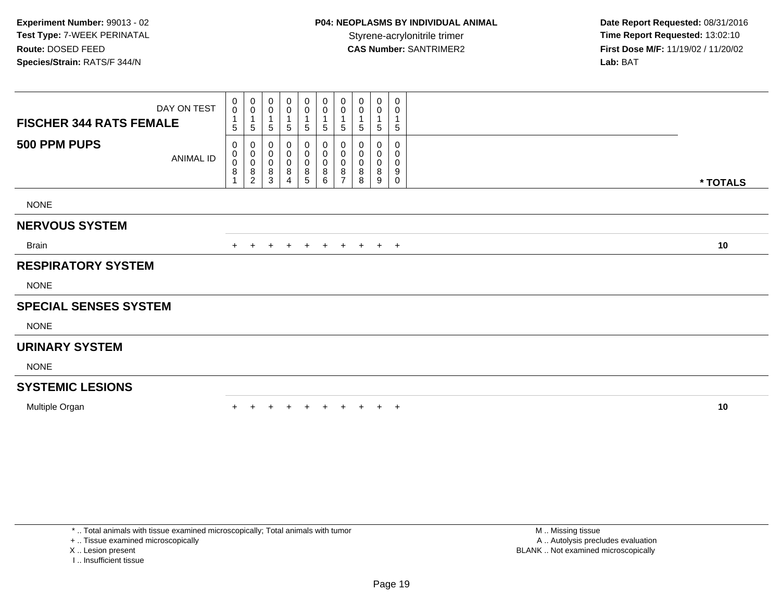| <b>FISCHER 344 RATS FEMALE</b> | DAY ON TEST | 0<br>$\mathbf 0$<br>$\overline{1}$<br>5 | $_{\rm 0}^{\rm 0}$<br>$\mathbf{1}$<br>$\mathbf 5$            | 0<br>0<br>5           | $\begin{smallmatrix} 0\\0 \end{smallmatrix}$<br>$\mathbf 1$<br>5 | $_{\rm 0}^{\rm 0}$<br>1<br>5 | $\begin{smallmatrix}0\\0\end{smallmatrix}$<br>$\overline{1}$<br>5 | 0<br>0<br>5                        | 0<br>0<br>5      | 0<br>0<br>$\mathbf{1}$<br>5     | 0<br>0<br>$\sqrt{5}$  |          |
|--------------------------------|-------------|-----------------------------------------|--------------------------------------------------------------|-----------------------|------------------------------------------------------------------|------------------------------|-------------------------------------------------------------------|------------------------------------|------------------|---------------------------------|-----------------------|----------|
| 500 PPM PUPS                   | ANIMAL ID   | $\mathbf 0$<br>0<br>$\pmb{0}$<br>8      | $\pmb{0}$<br>$_{\rm 0}^{\rm 0}$<br>$\bf 8$<br>$\overline{2}$ | 0<br>0<br>0<br>8<br>3 | 0<br>$\pmb{0}$<br>$\pmb{0}$<br>$\,8\,$<br>4                      | 0<br>0<br>0<br>8<br>5        | 0<br>$\pmb{0}$<br>$\pmb{0}$<br>$\,8\,$<br>6                       | 0<br>0<br>0<br>8<br>$\overline{ }$ | 0<br>0<br>8<br>8 | 0<br>0<br>$\mathbf 0$<br>8<br>9 | 0<br>0<br>0<br>9<br>0 | * TOTALS |
| <b>NONE</b>                    |             |                                         |                                                              |                       |                                                                  |                              |                                                                   |                                    |                  |                                 |                       |          |
| <b>NERVOUS SYSTEM</b>          |             |                                         |                                                              |                       |                                                                  |                              |                                                                   |                                    |                  |                                 |                       |          |
| Brain                          |             | $+$                                     | $+$                                                          | $+$                   | $+$                                                              | $+$                          | $+$                                                               |                                    | $+$ $+$          | $+$ $+$                         |                       | 10       |
| <b>RESPIRATORY SYSTEM</b>      |             |                                         |                                                              |                       |                                                                  |                              |                                                                   |                                    |                  |                                 |                       |          |
| <b>NONE</b>                    |             |                                         |                                                              |                       |                                                                  |                              |                                                                   |                                    |                  |                                 |                       |          |
| <b>SPECIAL SENSES SYSTEM</b>   |             |                                         |                                                              |                       |                                                                  |                              |                                                                   |                                    |                  |                                 |                       |          |
| <b>NONE</b>                    |             |                                         |                                                              |                       |                                                                  |                              |                                                                   |                                    |                  |                                 |                       |          |
| <b>URINARY SYSTEM</b>          |             |                                         |                                                              |                       |                                                                  |                              |                                                                   |                                    |                  |                                 |                       |          |
| <b>NONE</b>                    |             |                                         |                                                              |                       |                                                                  |                              |                                                                   |                                    |                  |                                 |                       |          |
| <b>SYSTEMIC LESIONS</b>        |             |                                         |                                                              |                       |                                                                  |                              |                                                                   |                                    |                  |                                 |                       |          |
| Multiple Organ                 |             |                                         |                                                              |                       |                                                                  |                              |                                                                   |                                    |                  | $+$                             | $+$                   | 10       |

\* .. Total animals with tissue examined microscopically; Total animals with tumor

+ .. Tissue examined microscopically

X .. Lesion present

I .. Insufficient tissue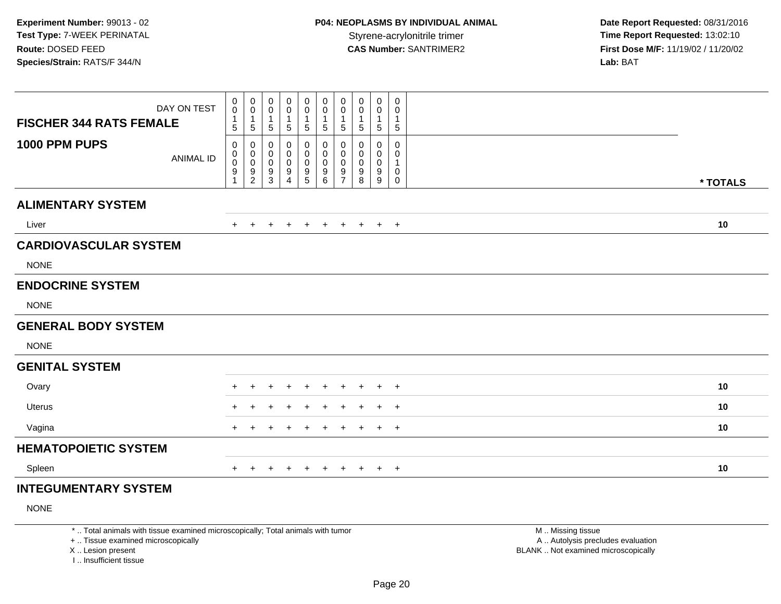| DAY ON TEST                       | 0<br>$\mathbf 0$<br>$\mathbf{1}$ | 0<br>$\pmb{0}$<br>$\mathbf{1}$                                     | 0<br>0<br>$\mathbf{1}$ | 0<br>0                             | $\pmb{0}$<br>$\pmb{0}$<br>$\mathbf{1}$       | $\mathbf 0$<br>$\pmb{0}$<br>$\overline{1}$                     | 0<br>$\pmb{0}$<br>$\mathbf{1}$                         | 0<br>0<br>1                     | 0<br>$\pmb{0}$<br>$\mathbf{1}$  | 0<br>$\mathbf 0$<br>1                   |          |
|-----------------------------------|----------------------------------|--------------------------------------------------------------------|------------------------|------------------------------------|----------------------------------------------|----------------------------------------------------------------|--------------------------------------------------------|---------------------------------|---------------------------------|-----------------------------------------|----------|
| <b>FISCHER 344 RATS FEMALE</b>    | 5                                | $5\,$                                                              | 5                      | $\mathbf{1}$<br>5                  | $\sqrt{5}$                                   | $\sqrt{5}$                                                     | $\sqrt{5}$                                             | 5                               | $\sqrt{5}$                      | $5\phantom{.0}$                         |          |
| 1000 PPM PUPS<br><b>ANIMAL ID</b> | 0<br>0<br>$\mathbf 0$<br>9       | 0<br>$\begin{smallmatrix} 0\\0 \end{smallmatrix}$<br>$\frac{9}{2}$ | 0<br>0<br>0<br>9<br>3  | 0<br>0<br>0<br>9<br>$\overline{4}$ | 0<br>$\pmb{0}$<br>$\pmb{0}$<br>$\frac{9}{5}$ | 0<br>$\mathbf 0$<br>$\mathbf 0$<br>$\boldsymbol{9}$<br>$\,6\,$ | 0<br>$\mathbf 0$<br>$\mathbf 0$<br>9<br>$\overline{7}$ | 0<br>0<br>$\mathbf 0$<br>9<br>8 | 0<br>0<br>$\mathbf 0$<br>9<br>9 | 0<br>$\mathbf 0$<br>1<br>$\pmb{0}$<br>0 | * TOTALS |
| <b>ALIMENTARY SYSTEM</b>          |                                  |                                                                    |                        |                                    |                                              |                                                                |                                                        |                                 |                                 |                                         |          |
| Liver                             | $+$                              | $+$                                                                | $+$                    | $+$                                | $+$                                          | $+$                                                            | $+$                                                    | $+$                             |                                 | $+$ $+$                                 | 10       |
| <b>CARDIOVASCULAR SYSTEM</b>      |                                  |                                                                    |                        |                                    |                                              |                                                                |                                                        |                                 |                                 |                                         |          |
| <b>NONE</b>                       |                                  |                                                                    |                        |                                    |                                              |                                                                |                                                        |                                 |                                 |                                         |          |
| <b>ENDOCRINE SYSTEM</b>           |                                  |                                                                    |                        |                                    |                                              |                                                                |                                                        |                                 |                                 |                                         |          |
| <b>NONE</b>                       |                                  |                                                                    |                        |                                    |                                              |                                                                |                                                        |                                 |                                 |                                         |          |
| <b>GENERAL BODY SYSTEM</b>        |                                  |                                                                    |                        |                                    |                                              |                                                                |                                                        |                                 |                                 |                                         |          |
| <b>NONE</b>                       |                                  |                                                                    |                        |                                    |                                              |                                                                |                                                        |                                 |                                 |                                         |          |
| <b>GENITAL SYSTEM</b>             |                                  |                                                                    |                        |                                    |                                              |                                                                |                                                        |                                 |                                 |                                         |          |
| Ovary                             |                                  |                                                                    | $\ddot{}$              | $\ddot{}$                          | $\ddot{}$                                    | $+$                                                            | $\ddot{}$                                              | $\ddot{}$                       |                                 | $+$ $+$                                 | 10       |
| Uterus                            |                                  |                                                                    | ÷                      |                                    | $\div$                                       | $\pm$                                                          | $\pm$                                                  | $\pm$                           | $+$                             | $+$                                     | 10       |
| Vagina                            | $+$                              | $\ddot{}$                                                          | $+$                    | $\ddot{}$                          | $\ddot{}$                                    | $\ddot{}$                                                      | $\ddot{}$                                              | $\ddot{}$                       |                                 | $+$ $+$                                 | 10       |
| <b>HEMATOPOIETIC SYSTEM</b>       |                                  |                                                                    |                        |                                    |                                              |                                                                |                                                        |                                 |                                 |                                         |          |
| Spleen                            | $\pm$                            | $\pm$                                                              | $\pm$                  | $+$                                | $\ddot{}$                                    | $+$                                                            | $+$                                                    | $+$                             |                                 | $+$ $+$                                 | 10       |
|                                   |                                  |                                                                    |                        |                                    |                                              |                                                                |                                                        |                                 |                                 |                                         |          |

# **INTEGUMENTARY SYSTEM**

NONE

\* .. Total animals with tissue examined microscopically; Total animals with tumor

+ .. Tissue examined microscopically

X .. Lesion present

I .. Insufficient tissue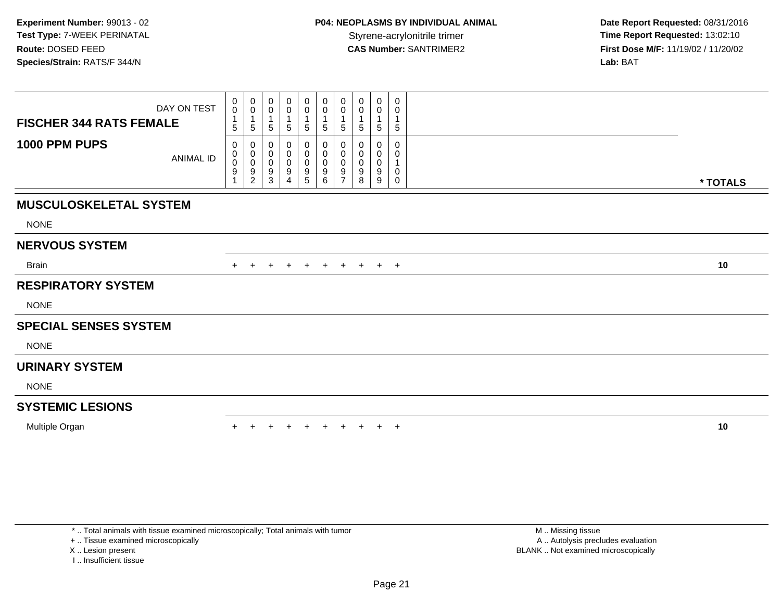| DAY ON TEST<br><b>FISCHER 344 RATS FEMALE</b> | 0<br>$\mathbf 0$<br>$\mathbf{1}$<br>5 | $_0^0$<br>$\mathbf{1}$<br>$\sqrt{5}$ | 0<br>$\pmb{0}$<br>5                                               | 0<br>$\pmb{0}$<br>$5\phantom{.0}$                                        | 0<br>$\mathbf 0$<br>$\mathbf 1$<br>5                 | 0<br>$\boldsymbol{0}$<br>1<br>5                      | $\mathbf 0$<br>$\pmb{0}$<br>1<br>$\sqrt{5}$          | 0<br>0<br>5                     | 0<br>0<br>1<br>5                | $\mathbf 0$<br>0<br>5                 |          |
|-----------------------------------------------|---------------------------------------|--------------------------------------|-------------------------------------------------------------------|--------------------------------------------------------------------------|------------------------------------------------------|------------------------------------------------------|------------------------------------------------------|---------------------------------|---------------------------------|---------------------------------------|----------|
| 1000 PPM PUPS<br><b>ANIMAL ID</b>             | 0<br>0<br>$\mathsf{O}\xspace$<br>9    | 0<br>$\pmb{0}$<br>$\frac{0}{9}$      | 0<br>$\pmb{0}$<br>$\mathbf 0$<br>$\boldsymbol{9}$<br>$\mathbf{3}$ | 0<br>$\boldsymbol{0}$<br>$\pmb{0}$<br>$\boldsymbol{9}$<br>$\overline{4}$ | 0<br>$\pmb{0}$<br>$\pmb{0}$<br>$\boldsymbol{9}$<br>5 | 0<br>$\pmb{0}$<br>$\pmb{0}$<br>$\boldsymbol{9}$<br>6 | 0<br>$\pmb{0}$<br>$\mathbf 0$<br>9<br>$\overline{7}$ | 0<br>0<br>$\mathbf 0$<br>9<br>8 | 0<br>0<br>$\mathbf 0$<br>9<br>9 | $\mathbf{0}$<br>0<br>0<br>$\mathbf 0$ | * TOTALS |
| <b>MUSCULOSKELETAL SYSTEM</b>                 |                                       |                                      |                                                                   |                                                                          |                                                      |                                                      |                                                      |                                 |                                 |                                       |          |
| <b>NONE</b>                                   |                                       |                                      |                                                                   |                                                                          |                                                      |                                                      |                                                      |                                 |                                 |                                       |          |
| <b>NERVOUS SYSTEM</b>                         |                                       |                                      |                                                                   |                                                                          |                                                      |                                                      |                                                      |                                 |                                 |                                       |          |
| <b>Brain</b>                                  | $+$                                   | $\ddot{}$                            | $\pm$                                                             | $+$                                                                      | $+$                                                  | $+$                                                  | $+$                                                  | $+$                             |                                 | $+$ $+$                               | 10       |
| <b>RESPIRATORY SYSTEM</b>                     |                                       |                                      |                                                                   |                                                                          |                                                      |                                                      |                                                      |                                 |                                 |                                       |          |
| <b>NONE</b>                                   |                                       |                                      |                                                                   |                                                                          |                                                      |                                                      |                                                      |                                 |                                 |                                       |          |
| <b>SPECIAL SENSES SYSTEM</b>                  |                                       |                                      |                                                                   |                                                                          |                                                      |                                                      |                                                      |                                 |                                 |                                       |          |
| <b>NONE</b>                                   |                                       |                                      |                                                                   |                                                                          |                                                      |                                                      |                                                      |                                 |                                 |                                       |          |
| <b>URINARY SYSTEM</b>                         |                                       |                                      |                                                                   |                                                                          |                                                      |                                                      |                                                      |                                 |                                 |                                       |          |
| <b>NONE</b>                                   |                                       |                                      |                                                                   |                                                                          |                                                      |                                                      |                                                      |                                 |                                 |                                       |          |
| <b>SYSTEMIC LESIONS</b>                       |                                       |                                      |                                                                   |                                                                          |                                                      |                                                      |                                                      |                                 |                                 |                                       |          |
| Multiple Organ                                |                                       |                                      |                                                                   |                                                                          |                                                      | $+$                                                  | $+$                                                  |                                 |                                 | $+$                                   | 10       |

+ .. Tissue examined microscopically

X .. Lesion present

I .. Insufficient tissue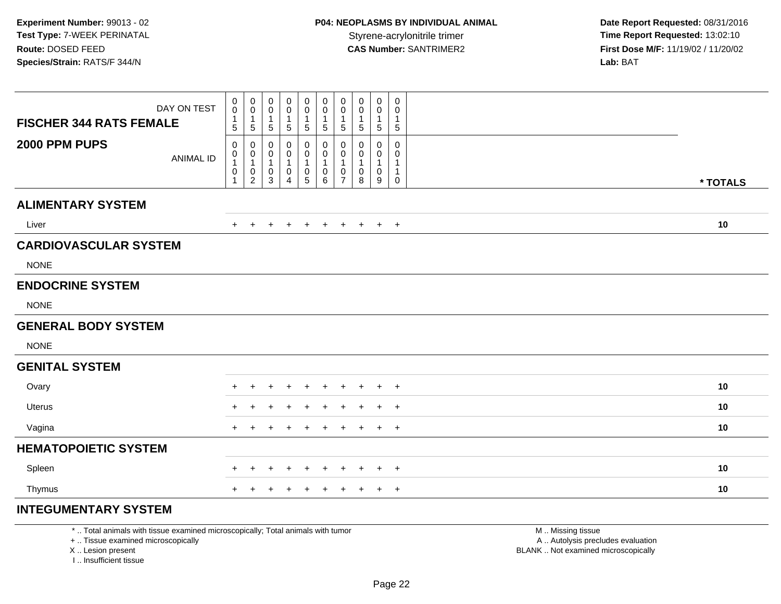| <b>FISCHER 344 RATS FEMALE</b>              | DAY ON TEST      | $\mathbf 0$<br>$\mathsf{O}\xspace$<br>$\mathbf{1}$                               | $\mathbf 0$<br>$\pmb{0}$<br>$\overline{1}$                                                              | 0<br>$\mathbf 0$<br>$\mathbf{1}$              | 0<br>$\pmb{0}$<br>1                                              | 0<br>$\mathsf{O}\xspace$<br>1           | $\begin{smallmatrix}0\\0\end{smallmatrix}$<br>$\mathbf{1}$                        | 0<br>$\pmb{0}$<br>$\mathbf{1}$                             | 0<br>$\pmb{0}$<br>$\mathbf{1}$       | $\pmb{0}$<br>$\pmb{0}$<br>1            | $\mathbf 0$<br>$\mathbf 0$<br>$\mathbf{1}$                                            |          |
|---------------------------------------------|------------------|----------------------------------------------------------------------------------|---------------------------------------------------------------------------------------------------------|-----------------------------------------------|------------------------------------------------------------------|-----------------------------------------|-----------------------------------------------------------------------------------|------------------------------------------------------------|--------------------------------------|----------------------------------------|---------------------------------------------------------------------------------------|----------|
| 2000 PPM PUPS                               | <b>ANIMAL ID</b> | $\overline{5}$<br>$\mathbf 0$<br>$\mathbf 0$<br>1<br>$\mathbf 0$<br>$\mathbf{1}$ | $\,$ 5 $\,$<br>$\mathbf 0$<br>$\begin{smallmatrix}0\\1\end{smallmatrix}$<br>$\pmb{0}$<br>$\overline{2}$ | 5<br>0<br>0<br>$\mathbf{1}$<br>$\pmb{0}$<br>3 | $\sqrt{5}$<br>0<br>$\mathbf 0$<br>$\mathbf{1}$<br>$\pmb{0}$<br>4 | 5<br>0<br>$\mathsf 0$<br>$\pmb{0}$<br>5 | $\overline{5}$<br>0<br>$\mathbf 0$<br>$\mathbf{1}$<br>$\pmb{0}$<br>$6\phantom{1}$ | $5\phantom{.0}$<br>0<br>$\mathbf 0$<br>0<br>$\overline{7}$ | $\sqrt{5}$<br>0<br>0<br>-1<br>0<br>8 | $\sqrt{5}$<br>0<br>0<br>$\pmb{0}$<br>9 | $\,$ 5 $\,$<br>$\mathbf 0$<br>$\Omega$<br>$\mathbf{1}$<br>$\mathbf{1}$<br>$\mathbf 0$ | * TOTALS |
| <b>ALIMENTARY SYSTEM</b>                    |                  |                                                                                  |                                                                                                         |                                               |                                                                  |                                         |                                                                                   |                                                            |                                      |                                        |                                                                                       |          |
| Liver                                       |                  | $+$                                                                              | $+$                                                                                                     | $\ddot{}$                                     | $\ddot{}$                                                        | $+$                                     | $+$                                                                               | $+$                                                        | $+$                                  | $+$                                    | $+$                                                                                   | 10       |
| <b>CARDIOVASCULAR SYSTEM</b><br><b>NONE</b> |                  |                                                                                  |                                                                                                         |                                               |                                                                  |                                         |                                                                                   |                                                            |                                      |                                        |                                                                                       |          |
| <b>ENDOCRINE SYSTEM</b>                     |                  |                                                                                  |                                                                                                         |                                               |                                                                  |                                         |                                                                                   |                                                            |                                      |                                        |                                                                                       |          |
| <b>NONE</b>                                 |                  |                                                                                  |                                                                                                         |                                               |                                                                  |                                         |                                                                                   |                                                            |                                      |                                        |                                                                                       |          |
| <b>GENERAL BODY SYSTEM</b>                  |                  |                                                                                  |                                                                                                         |                                               |                                                                  |                                         |                                                                                   |                                                            |                                      |                                        |                                                                                       |          |
| <b>NONE</b>                                 |                  |                                                                                  |                                                                                                         |                                               |                                                                  |                                         |                                                                                   |                                                            |                                      |                                        |                                                                                       |          |
| <b>GENITAL SYSTEM</b>                       |                  |                                                                                  |                                                                                                         |                                               |                                                                  |                                         |                                                                                   |                                                            |                                      |                                        |                                                                                       |          |
| Ovary                                       |                  |                                                                                  |                                                                                                         |                                               |                                                                  | $\pm$                                   |                                                                                   | $\div$                                                     | $\pm$                                | $\div$                                 | $+$                                                                                   | 10       |
| Uterus                                      |                  |                                                                                  |                                                                                                         |                                               |                                                                  | $\div$                                  | $\ddot{}$                                                                         | $\pm$                                                      | $\pm$                                | $+$                                    | $+$                                                                                   | 10       |
| Vagina                                      |                  |                                                                                  |                                                                                                         |                                               |                                                                  |                                         |                                                                                   | $\pm$                                                      | $\pm$                                | $+$                                    | $+$                                                                                   | 10       |
| <b>HEMATOPOIETIC SYSTEM</b>                 |                  |                                                                                  |                                                                                                         |                                               |                                                                  |                                         |                                                                                   |                                                            |                                      |                                        |                                                                                       |          |
| Spleen                                      |                  | $\pm$                                                                            | $\ddot{}$                                                                                               | $\ddot{}$                                     | $\div$                                                           | $\ddot{}$                               |                                                                                   | $\ddot{}$                                                  |                                      | $\ddot{}$                              | $+$                                                                                   | 10       |
| Thymus                                      |                  | $+$                                                                              | $\pm$                                                                                                   | ÷                                             |                                                                  | $\ddot{}$                               | $\ddot{}$                                                                         | $\ddot{}$                                                  | $\ddot{}$                            | $^{+}$                                 | $+$                                                                                   | 10       |
| INITECHIMENITA DV CVCTEM                    |                  |                                                                                  |                                                                                                         |                                               |                                                                  |                                         |                                                                                   |                                                            |                                      |                                        |                                                                                       |          |

#### **INTEGUMENTARY SYSTEM**

\* .. Total animals with tissue examined microscopically; Total animals with tumor

+ .. Tissue examined microscopically

X .. Lesion present

I .. Insufficient tissue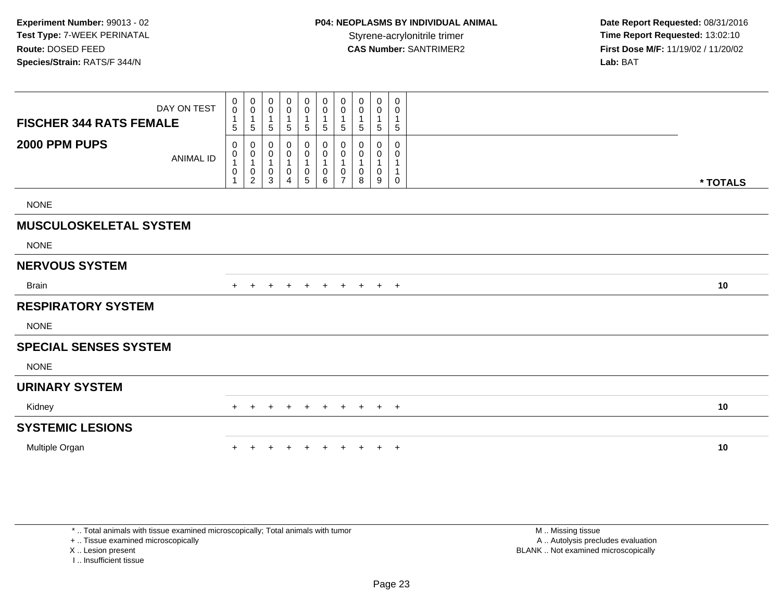|                                | DAY ON TEST      | $\pmb{0}$<br>$\mathsf{O}\xspace$               | $\mathbf 0$<br>$\mathsf 0$                    | 0<br>0           | $\mathbf 0$<br>$\mathsf 0$                   | 0<br>$\pmb{0}$                                               | $\mathbf 0$<br>$\pmb{0}$                                 | 0<br>$\pmb{0}$                | 0<br>0                | $\mathbf 0$<br>$\pmb{0}$         | 0<br>0                                       |          |
|--------------------------------|------------------|------------------------------------------------|-----------------------------------------------|------------------|----------------------------------------------|--------------------------------------------------------------|----------------------------------------------------------|-------------------------------|-----------------------|----------------------------------|----------------------------------------------|----------|
| <b>FISCHER 344 RATS FEMALE</b> |                  | $\mathbf{1}$<br>5                              | 1<br>5                                        | 5                | $\mathbf 1$<br>5                             | 1<br>5                                                       | $\mathbf 1$<br>5                                         | 1<br>5                        | $\mathbf 1$<br>5      | $\sqrt{5}$                       | $\overline{1}$<br>$\overline{5}$             |          |
| 2000 PPM PUPS                  | <b>ANIMAL ID</b> | 0<br>$\,0\,$<br>$\mathbf{1}$<br>$\pmb{0}$<br>1 | 0<br>0<br>$\mathbf{1}$<br>0<br>$\overline{c}$ | 0<br>0<br>0<br>3 | 0<br>$\boldsymbol{0}$<br>1<br>$\pmb{0}$<br>4 | 0<br>$\boldsymbol{0}$<br>$\mathbf{1}$<br>0<br>$\overline{5}$ | 0<br>$\pmb{0}$<br>$\mathbf{1}$<br>$\mathbf 0$<br>$\,6\,$ | 0<br>0<br>0<br>$\overline{7}$ | 0<br>0<br>1<br>0<br>8 | 0<br>$\pmb{0}$<br>$\pmb{0}$<br>9 | 0<br>0<br>$\overline{1}$<br>$\boldsymbol{0}$ | * TOTALS |
| <b>NONE</b>                    |                  |                                                |                                               |                  |                                              |                                                              |                                                          |                               |                       |                                  |                                              |          |
| <b>MUSCULOSKELETAL SYSTEM</b>  |                  |                                                |                                               |                  |                                              |                                                              |                                                          |                               |                       |                                  |                                              |          |
| <b>NONE</b>                    |                  |                                                |                                               |                  |                                              |                                                              |                                                          |                               |                       |                                  |                                              |          |
| <b>NERVOUS SYSTEM</b>          |                  |                                                |                                               |                  |                                              |                                                              |                                                          |                               |                       |                                  |                                              |          |
| <b>Brain</b>                   |                  |                                                | $\pm$                                         | $\pm$            | $\mathbf +$                                  | $\ddot{}$                                                    | $\ddot{}$                                                | $\ddot{}$                     | $+$                   | $+$                              | $+$                                          | 10       |
| <b>RESPIRATORY SYSTEM</b>      |                  |                                                |                                               |                  |                                              |                                                              |                                                          |                               |                       |                                  |                                              |          |
| <b>NONE</b>                    |                  |                                                |                                               |                  |                                              |                                                              |                                                          |                               |                       |                                  |                                              |          |
| <b>SPECIAL SENSES SYSTEM</b>   |                  |                                                |                                               |                  |                                              |                                                              |                                                          |                               |                       |                                  |                                              |          |
| <b>NONE</b>                    |                  |                                                |                                               |                  |                                              |                                                              |                                                          |                               |                       |                                  |                                              |          |
|                                |                  |                                                |                                               |                  |                                              |                                                              |                                                          |                               |                       |                                  |                                              |          |
| <b>URINARY SYSTEM</b>          |                  |                                                |                                               |                  |                                              |                                                              |                                                          |                               |                       |                                  |                                              |          |
| Kidney                         |                  |                                                |                                               |                  |                                              |                                                              |                                                          |                               |                       | $\pm$                            | $+$                                          | 10       |
| <b>SYSTEMIC LESIONS</b>        |                  |                                                |                                               |                  |                                              |                                                              |                                                          |                               |                       |                                  |                                              |          |

+ .. Tissue examined microscopically

X .. Lesion present

I .. Insufficient tissue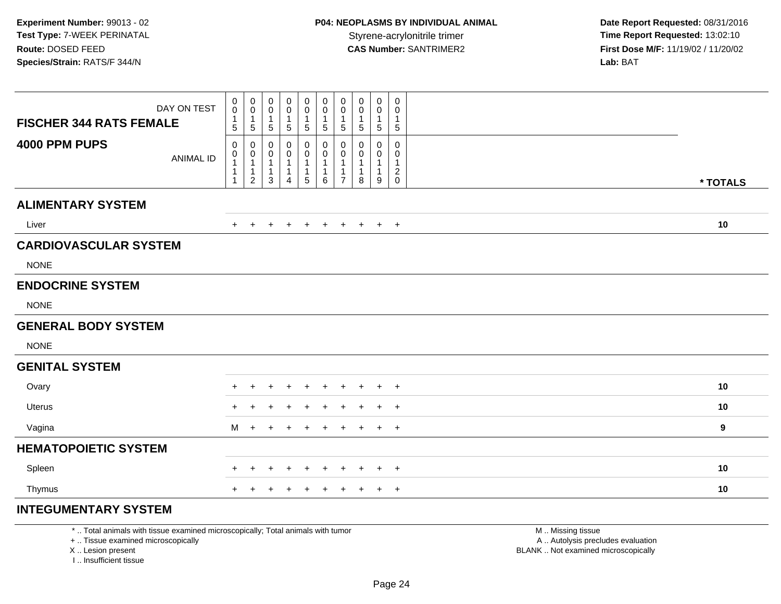| DAY ON TEST<br><b>FISCHER 344 RATS FEMALE</b> | $\begin{smallmatrix}0\0\0\end{smallmatrix}$<br>$\mathbf{1}$<br>$5\phantom{.0}$ | $\begin{smallmatrix}0\\0\end{smallmatrix}$<br>$\overline{1}$<br>$\overline{5}$   | 0<br>$\pmb{0}$<br>$\mathbf{1}$<br>$\sqrt{5}$ | 0<br>$\pmb{0}$<br>1<br>$\sqrt{5}$ | 0<br>$\pmb{0}$<br>1<br>$5\phantom{.0}$ | $\begin{smallmatrix} 0\\0 \end{smallmatrix}$<br>$\mathbf{1}$<br>$\overline{5}$ | 0<br>$\pmb{0}$<br>1<br>$5\phantom{.0}$   | 0<br>0<br>$\mathbf{1}$<br>$\sqrt{5}$ | $\pmb{0}$<br>$\pmb{0}$<br>1<br>5 | 0<br>$\mathbf 0$<br>$\mathbf{1}$<br>$5\phantom{.0}$   |          |
|-----------------------------------------------|--------------------------------------------------------------------------------|----------------------------------------------------------------------------------|----------------------------------------------|-----------------------------------|----------------------------------------|--------------------------------------------------------------------------------|------------------------------------------|--------------------------------------|----------------------------------|-------------------------------------------------------|----------|
| 4000 PPM PUPS<br><b>ANIMAL ID</b>             | $\mathbf 0$<br>$\mathbf 0$<br>$\overline{1}$<br>-1                             | $\mathbf 0$<br>$\begin{smallmatrix}0\\1\end{smallmatrix}$<br>$\overline{1}$<br>2 | 0<br>0<br>1<br>$\mathbf{1}$<br>3             | 0<br>0<br>$\mathbf{1}$<br>1<br>4  | 0<br>0<br>$5\phantom{.0}$              | 0<br>$\mathbf 0$<br>$\mathbf{1}$<br>$\mathbf{1}$<br>6                          | 0<br>0<br>$\mathbf{1}$<br>$\overline{7}$ | 0<br>0<br>$\mathbf{1}$<br>8          | $\mathbf 0$<br>0<br>1<br>9       | $\mathbf 0$<br>$\Omega$<br>$\mathbf{1}$<br>$_{0}^{2}$ | * TOTALS |
| <b>ALIMENTARY SYSTEM</b>                      |                                                                                |                                                                                  |                                              |                                   |                                        |                                                                                |                                          |                                      |                                  |                                                       |          |
| Liver                                         | $+$                                                                            | $+$                                                                              | $\ddot{}$                                    | $\ddot{}$                         | $+$                                    | $+$                                                                            | $+$                                      | $+$                                  | $+$                              | $+$                                                   | 10       |
| <b>CARDIOVASCULAR SYSTEM</b><br><b>NONE</b>   |                                                                                |                                                                                  |                                              |                                   |                                        |                                                                                |                                          |                                      |                                  |                                                       |          |
| <b>ENDOCRINE SYSTEM</b>                       |                                                                                |                                                                                  |                                              |                                   |                                        |                                                                                |                                          |                                      |                                  |                                                       |          |
| <b>NONE</b>                                   |                                                                                |                                                                                  |                                              |                                   |                                        |                                                                                |                                          |                                      |                                  |                                                       |          |
| <b>GENERAL BODY SYSTEM</b>                    |                                                                                |                                                                                  |                                              |                                   |                                        |                                                                                |                                          |                                      |                                  |                                                       |          |
| <b>NONE</b>                                   |                                                                                |                                                                                  |                                              |                                   |                                        |                                                                                |                                          |                                      |                                  |                                                       |          |
| <b>GENITAL SYSTEM</b>                         |                                                                                |                                                                                  |                                              |                                   |                                        |                                                                                |                                          |                                      |                                  |                                                       |          |
| Ovary                                         |                                                                                |                                                                                  |                                              |                                   |                                        |                                                                                | $\div$                                   | $\div$                               | $\pm$                            | $+$                                                   | 10       |
| Uterus                                        |                                                                                |                                                                                  |                                              |                                   | $\div$                                 | $\ddot{}$                                                                      | $\pm$                                    | $\div$                               | $\pm$                            | $+$                                                   | 10       |
| Vagina                                        | M                                                                              | $\div$                                                                           | $\ddot{}$                                    |                                   | $\div$                                 | $+$                                                                            | $\pm$                                    | $\pm$                                | $+$                              | $+$                                                   | 9        |
| <b>HEMATOPOIETIC SYSTEM</b>                   |                                                                                |                                                                                  |                                              |                                   |                                        |                                                                                |                                          |                                      |                                  |                                                       |          |
| Spleen                                        | $+$                                                                            | $\div$                                                                           | $\div$                                       | $\div$                            | $\div$                                 |                                                                                | $\div$                                   |                                      | $\ddot{}$                        | $+$                                                   | 10       |
| Thymus                                        | $+$                                                                            |                                                                                  |                                              |                                   |                                        |                                                                                | $\ddot{}$                                | $\ddot{}$                            | $\ddot{}$                        | $+$                                                   | 10       |

#### **INTEGUMENTARY SYSTEM**

\* .. Total animals with tissue examined microscopically; Total animals with tumor

+ .. Tissue examined microscopically

X .. Lesion present

I .. Insufficient tissue